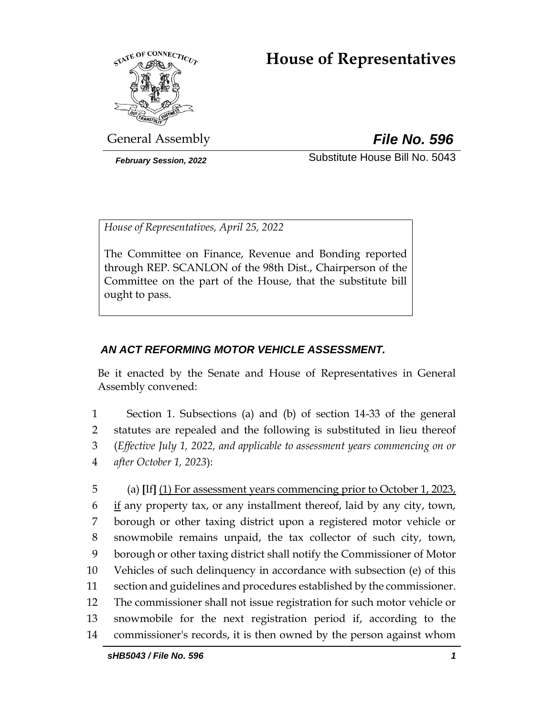# **House of Representatives**



General Assembly *File No. 596*

*February Session, 2022* Substitute House Bill No. 5043

*House of Representatives, April 25, 2022*

The Committee on Finance, Revenue and Bonding reported through REP. SCANLON of the 98th Dist., Chairperson of the Committee on the part of the House, that the substitute bill ought to pass.

# *AN ACT REFORMING MOTOR VEHICLE ASSESSMENT.*

Be it enacted by the Senate and House of Representatives in General Assembly convened:

 Section 1. Subsections (a) and (b) of section 14-33 of the general statutes are repealed and the following is substituted in lieu thereof (*Effective July 1, 2022, and applicable to assessment years commencing on or after October 1, 2023*):

 (a) **[**If**]** (1) For assessment years commencing prior to October 1, 2023, if any property tax, or any installment thereof, laid by any city, town, borough or other taxing district upon a registered motor vehicle or snowmobile remains unpaid, the tax collector of such city, town, borough or other taxing district shall notify the Commissioner of Motor Vehicles of such delinquency in accordance with subsection (e) of this section and guidelines and procedures established by the commissioner. The commissioner shall not issue registration for such motor vehicle or snowmobile for the next registration period if, according to the commissioner's records, it is then owned by the person against whom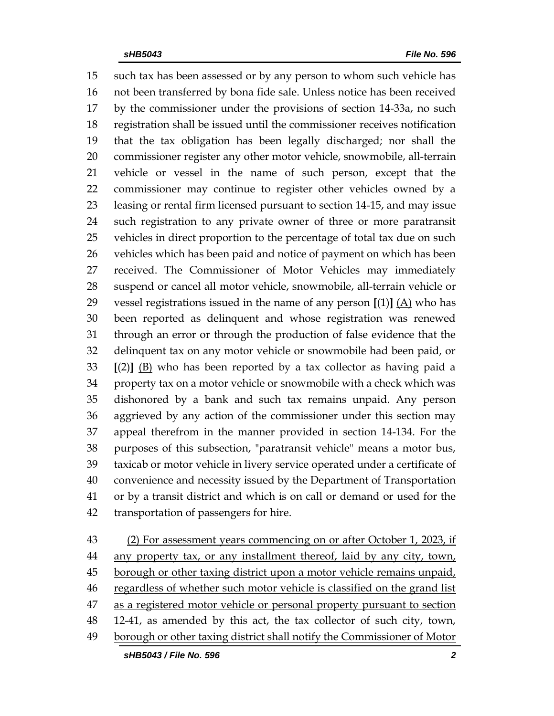such tax has been assessed or by any person to whom such vehicle has not been transferred by bona fide sale. Unless notice has been received by the commissioner under the provisions of section 14-33a, no such registration shall be issued until the commissioner receives notification that the tax obligation has been legally discharged; nor shall the commissioner register any other motor vehicle, snowmobile, all-terrain vehicle or vessel in the name of such person, except that the commissioner may continue to register other vehicles owned by a leasing or rental firm licensed pursuant to section 14-15, and may issue such registration to any private owner of three or more paratransit vehicles in direct proportion to the percentage of total tax due on such vehicles which has been paid and notice of payment on which has been received. The Commissioner of Motor Vehicles may immediately suspend or cancel all motor vehicle, snowmobile, all-terrain vehicle or 29 vessel registrations issued in the name of any person  $[(1)] (A)$  who has been reported as delinquent and whose registration was renewed through an error or through the production of false evidence that the delinquent tax on any motor vehicle or snowmobile had been paid, or **[**(2)**]** (B) who has been reported by a tax collector as having paid a property tax on a motor vehicle or snowmobile with a check which was dishonored by a bank and such tax remains unpaid. Any person aggrieved by any action of the commissioner under this section may appeal therefrom in the manner provided in section 14-134. For the purposes of this subsection, "paratransit vehicle" means a motor bus, taxicab or motor vehicle in livery service operated under a certificate of convenience and necessity issued by the Department of Transportation or by a transit district and which is on call or demand or used for the transportation of passengers for hire.

*sHB5043 / File No. 596 2* (2) For assessment years commencing on or after October 1, 2023, if 44 any property tax, or any installment thereof, laid by any city, town, 45 borough or other taxing district upon a motor vehicle remains unpaid, 46 regardless of whether such motor vehicle is classified on the grand list as a registered motor vehicle or personal property pursuant to section 48 12-41, as amended by this act, the tax collector of such city, town, borough or other taxing district shall notify the Commissioner of Motor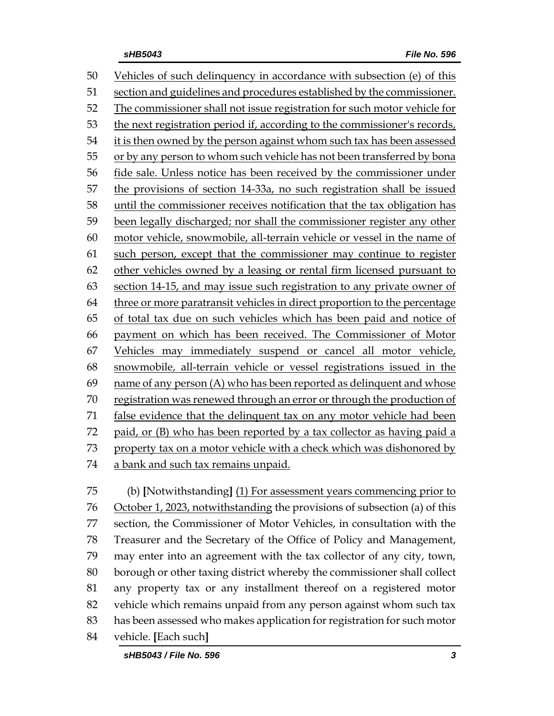Vehicles of such delinquency in accordance with subsection (e) of this section and guidelines and procedures established by the commissioner. The commissioner shall not issue registration for such motor vehicle for the next registration period if, according to the commissioner's records, it is then owned by the person against whom such tax has been assessed 55 or by any person to whom such vehicle has not been transferred by bona fide sale. Unless notice has been received by the commissioner under the provisions of section 14-33a, no such registration shall be issued until the commissioner receives notification that the tax obligation has been legally discharged; nor shall the commissioner register any other motor vehicle, snowmobile, all-terrain vehicle or vessel in the name of such person, except that the commissioner may continue to register other vehicles owned by a leasing or rental firm licensed pursuant to section 14-15, and may issue such registration to any private owner of 64 three or more paratransit vehicles in direct proportion to the percentage of total tax due on such vehicles which has been paid and notice of payment on which has been received. The Commissioner of Motor Vehicles may immediately suspend or cancel all motor vehicle, snowmobile, all-terrain vehicle or vessel registrations issued in the name of any person (A) who has been reported as delinquent and whose registration was renewed through an error or through the production of false evidence that the delinquent tax on any motor vehicle had been paid, or (B) who has been reported by a tax collector as having paid a property tax on a motor vehicle with a check which was dishonored by a bank and such tax remains unpaid.

 (b) **[**Notwithstanding**]** (1) For assessment years commencing prior to October 1, 2023, notwithstanding the provisions of subsection (a) of this section, the Commissioner of Motor Vehicles, in consultation with the Treasurer and the Secretary of the Office of Policy and Management, may enter into an agreement with the tax collector of any city, town, borough or other taxing district whereby the commissioner shall collect any property tax or any installment thereof on a registered motor vehicle which remains unpaid from any person against whom such tax has been assessed who makes application for registration for such motor vehicle. **[**Each such**]**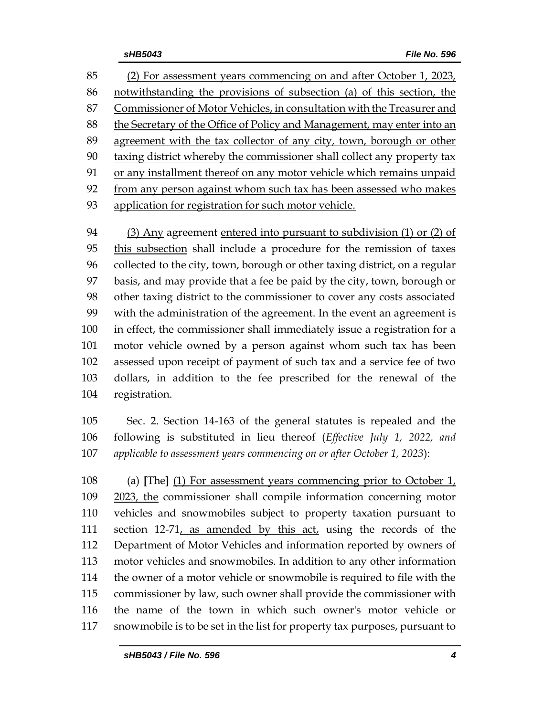(2) For assessment years commencing on and after October 1, 2023, notwithstanding the provisions of subsection (a) of this section, the Commissioner of Motor Vehicles, in consultation with the Treasurer and the Secretary of the Office of Policy and Management, may enter into an 89 agreement with the tax collector of any city, town, borough or other 90 taxing district whereby the commissioner shall collect any property tax or any installment thereof on any motor vehicle which remains unpaid from any person against whom such tax has been assessed who makes application for registration for such motor vehicle.

 (3) Any agreement entered into pursuant to subdivision (1) or (2) of this subsection shall include a procedure for the remission of taxes collected to the city, town, borough or other taxing district, on a regular basis, and may provide that a fee be paid by the city, town, borough or other taxing district to the commissioner to cover any costs associated with the administration of the agreement. In the event an agreement is in effect, the commissioner shall immediately issue a registration for a motor vehicle owned by a person against whom such tax has been assessed upon receipt of payment of such tax and a service fee of two dollars, in addition to the fee prescribed for the renewal of the registration.

 Sec. 2. Section 14-163 of the general statutes is repealed and the following is substituted in lieu thereof (*Effective July 1, 2022, and applicable to assessment years commencing on or after October 1, 2023*):

 (a) **[**The**]** (1) For assessment years commencing prior to October 1, 2023, the commissioner shall compile information concerning motor vehicles and snowmobiles subject to property taxation pursuant to section 12-71, as amended by this act, using the records of the Department of Motor Vehicles and information reported by owners of motor vehicles and snowmobiles. In addition to any other information the owner of a motor vehicle or snowmobile is required to file with the commissioner by law, such owner shall provide the commissioner with the name of the town in which such owner's motor vehicle or snowmobile is to be set in the list for property tax purposes, pursuant to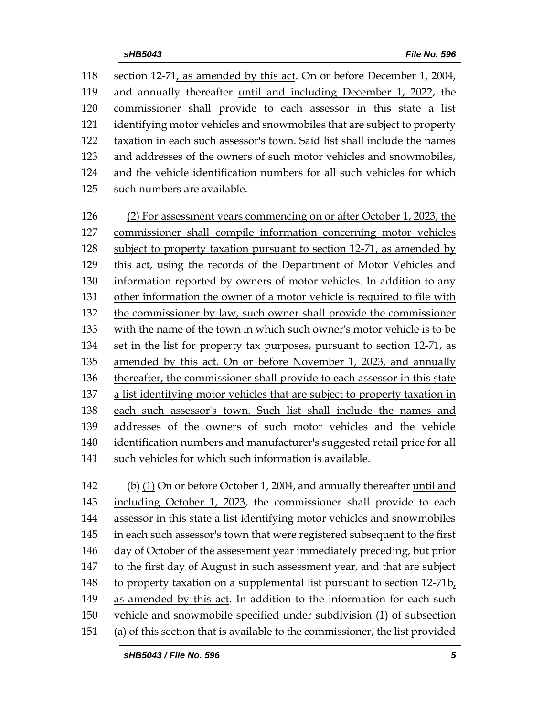| 118 | section 12-71, as amended by this act. On or before December 1, 2004,     |
|-----|---------------------------------------------------------------------------|
| 119 | and annually thereafter <u>until and including December 1</u> , 2022, the |
| 120 | commissioner shall provide to each assessor in this state a list          |
| 121 | identifying motor vehicles and snowmobiles that are subject to property   |
| 122 | taxation in each such assessor's town. Said list shall include the names  |
| 123 | and addresses of the owners of such motor vehicles and snowmobiles,       |
| 124 | and the vehicle identification numbers for all such vehicles for which    |
| 125 | such numbers are available.                                               |

 (2) For assessment years commencing on or after October 1, 2023, the commissioner shall compile information concerning motor vehicles subject to property taxation pursuant to section 12-71, as amended by this act, using the records of the Department of Motor Vehicles and 130 information reported by owners of motor vehicles. In addition to any other information the owner of a motor vehicle is required to file with the commissioner by law, such owner shall provide the commissioner with the name of the town in which such owner's motor vehicle is to be set in the list for property tax purposes, pursuant to section 12-71, as amended by this act. On or before November 1, 2023, and annually thereafter, the commissioner shall provide to each assessor in this state a list identifying motor vehicles that are subject to property taxation in each such assessor's town. Such list shall include the names and addresses of the owners of such motor vehicles and the vehicle identification numbers and manufacturer's suggested retail price for all such vehicles for which such information is available.

 (b) (1) On or before October 1, 2004, and annually thereafter until and 143 including October 1, 2023, the commissioner shall provide to each assessor in this state a list identifying motor vehicles and snowmobiles in each such assessor's town that were registered subsequent to the first day of October of the assessment year immediately preceding, but prior to the first day of August in such assessment year, and that are subject to property taxation on a supplemental list pursuant to section 12-71b, as amended by this act. In addition to the information for each such vehicle and snowmobile specified under subdivision (1) of subsection (a) of this section that is available to the commissioner, the list provided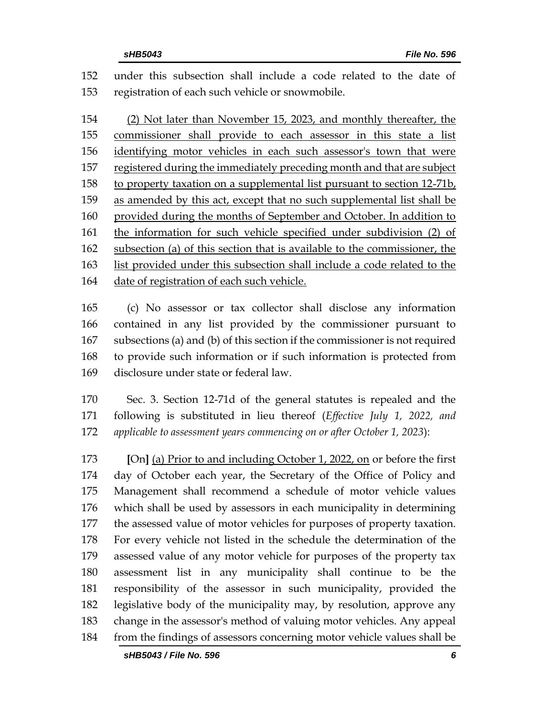under this subsection shall include a code related to the date of registration of each such vehicle or snowmobile.

 (2) Not later than November 15, 2023, and monthly thereafter, the commissioner shall provide to each assessor in this state a list identifying motor vehicles in each such assessor's town that were 157 registered during the immediately preceding month and that are subject to property taxation on a supplemental list pursuant to section 12-71b, as amended by this act, except that no such supplemental list shall be provided during the months of September and October. In addition to the information for such vehicle specified under subdivision (2) of subsection (a) of this section that is available to the commissioner, the list provided under this subsection shall include a code related to the date of registration of each such vehicle.

 (c) No assessor or tax collector shall disclose any information contained in any list provided by the commissioner pursuant to subsections (a) and (b) of this section if the commissioner is not required to provide such information or if such information is protected from disclosure under state or federal law.

 Sec. 3. Section 12-71d of the general statutes is repealed and the following is substituted in lieu thereof (*Effective July 1, 2022, and applicable to assessment years commencing on or after October 1, 2023*):

 **[**On**]** (a) Prior to and including October 1, 2022, on or before the first day of October each year, the Secretary of the Office of Policy and Management shall recommend a schedule of motor vehicle values which shall be used by assessors in each municipality in determining the assessed value of motor vehicles for purposes of property taxation. For every vehicle not listed in the schedule the determination of the assessed value of any motor vehicle for purposes of the property tax assessment list in any municipality shall continue to be the responsibility of the assessor in such municipality, provided the legislative body of the municipality may, by resolution, approve any change in the assessor's method of valuing motor vehicles. Any appeal from the findings of assessors concerning motor vehicle values shall be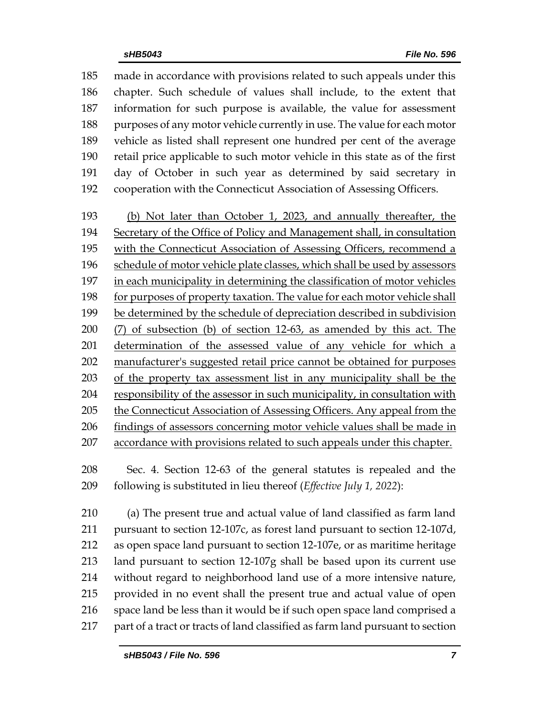made in accordance with provisions related to such appeals under this chapter. Such schedule of values shall include, to the extent that information for such purpose is available, the value for assessment 188 purposes of any motor vehicle currently in use. The value for each motor vehicle as listed shall represent one hundred per cent of the average retail price applicable to such motor vehicle in this state as of the first day of October in such year as determined by said secretary in cooperation with the Connecticut Association of Assessing Officers.

 (b) Not later than October 1, 2023, and annually thereafter, the Secretary of the Office of Policy and Management shall, in consultation with the Connecticut Association of Assessing Officers, recommend a schedule of motor vehicle plate classes, which shall be used by assessors in each municipality in determining the classification of motor vehicles for purposes of property taxation. The value for each motor vehicle shall be determined by the schedule of depreciation described in subdivision (7) of subsection (b) of section 12-63, as amended by this act. The determination of the assessed value of any vehicle for which a manufacturer's suggested retail price cannot be obtained for purposes of the property tax assessment list in any municipality shall be the responsibility of the assessor in such municipality, in consultation with 205 the Connecticut Association of Assessing Officers. Any appeal from the findings of assessors concerning motor vehicle values shall be made in accordance with provisions related to such appeals under this chapter.

 Sec. 4. Section 12-63 of the general statutes is repealed and the following is substituted in lieu thereof (*Effective July 1, 2022*):

 (a) The present true and actual value of land classified as farm land pursuant to section 12-107c, as forest land pursuant to section 12-107d, as open space land pursuant to section 12-107e, or as maritime heritage land pursuant to section 12-107g shall be based upon its current use without regard to neighborhood land use of a more intensive nature, provided in no event shall the present true and actual value of open space land be less than it would be if such open space land comprised a part of a tract or tracts of land classified as farm land pursuant to section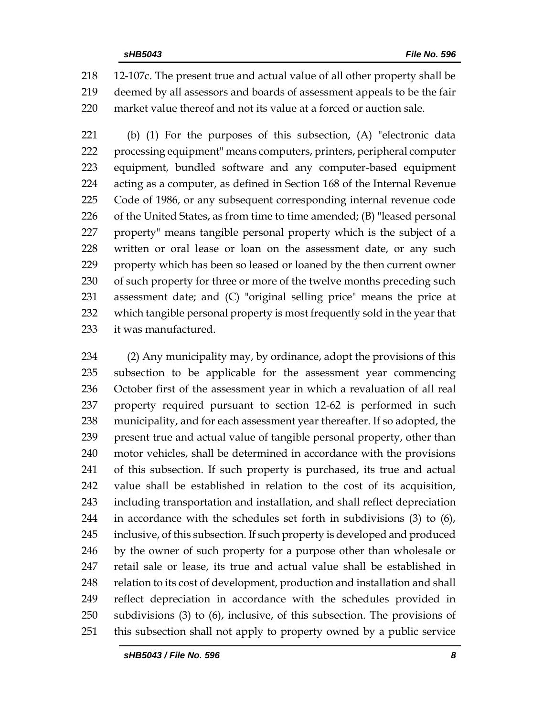12-107c. The present true and actual value of all other property shall be deemed by all assessors and boards of assessment appeals to be the fair market value thereof and not its value at a forced or auction sale.

 (b) (1) For the purposes of this subsection, (A) "electronic data processing equipment" means computers, printers, peripheral computer equipment, bundled software and any computer-based equipment acting as a computer, as defined in Section 168 of the Internal Revenue Code of 1986, or any subsequent corresponding internal revenue code of the United States, as from time to time amended; (B) "leased personal property" means tangible personal property which is the subject of a 228 written or oral lease or loan on the assessment date, or any such property which has been so leased or loaned by the then current owner 230 of such property for three or more of the twelve months preceding such assessment date; and (C) "original selling price" means the price at which tangible personal property is most frequently sold in the year that it was manufactured.

 (2) Any municipality may, by ordinance, adopt the provisions of this subsection to be applicable for the assessment year commencing October first of the assessment year in which a revaluation of all real property required pursuant to section 12-62 is performed in such municipality, and for each assessment year thereafter. If so adopted, the present true and actual value of tangible personal property, other than motor vehicles, shall be determined in accordance with the provisions of this subsection. If such property is purchased, its true and actual value shall be established in relation to the cost of its acquisition, including transportation and installation, and shall reflect depreciation in accordance with the schedules set forth in subdivisions (3) to (6), inclusive, of this subsection. If such property is developed and produced by the owner of such property for a purpose other than wholesale or retail sale or lease, its true and actual value shall be established in 248 relation to its cost of development, production and installation and shall reflect depreciation in accordance with the schedules provided in subdivisions (3) to (6), inclusive, of this subsection. The provisions of this subsection shall not apply to property owned by a public service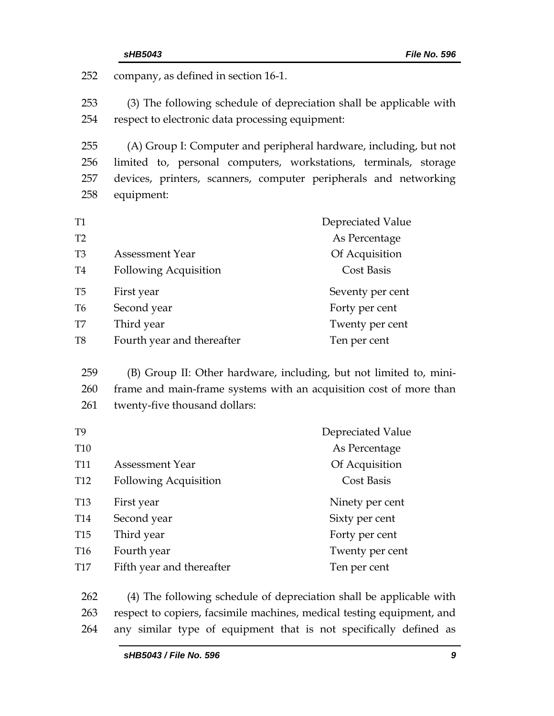| sHB5043                                          | File No. 596                                                           |
|--------------------------------------------------|------------------------------------------------------------------------|
| company, as defined in section 16-1.             |                                                                        |
|                                                  | (3) The following schedule of depreciation shall be applicable with    |
| respect to electronic data processing equipment: |                                                                        |
|                                                  | (A) Group I: Computer and peripheral hardware, including, but not      |
|                                                  | limited to, personal computers, workstations, terminals, storage       |
|                                                  | devices, printers, scanners, computer peripherals and networking       |
| equipment:                                       |                                                                        |
|                                                  | Depreciated Value                                                      |
|                                                  | As Percentage                                                          |
| <b>Assessment Year</b>                           | Of Acquisition                                                         |
| <b>Following Acquisition</b>                     | <b>Cost Basis</b>                                                      |
| First year                                       | Seventy per cent                                                       |
| Second year                                      | Forty per cent                                                         |
| Third year                                       | Twenty per cent                                                        |
| Fourth year and thereafter                       | Ten per cent                                                           |
|                                                  | (B) Group II: Other hardware, including, but not limited to, mini-     |
|                                                  | frame and main-frame systems with an acquisition cost of more than     |
| twenty-five thousand dollars:                    |                                                                        |
|                                                  | Depreciated Value                                                      |
|                                                  | As Percentage                                                          |
| <b>Assessment Year</b>                           | Of Acquisition                                                         |
| <b>Following Acquisition</b>                     | Cost Basis                                                             |
| First year                                       | Ninety per cent                                                        |
| Second year                                      | Sixty per cent                                                         |
| Third year                                       | Forty per cent                                                         |
| Fourth year                                      | Twenty per cent                                                        |
| Fifth year and thereafter                        | Ten per cent                                                           |
|                                                  | (4) The following schedule of depreciation shall be applicable with    |
|                                                  | respect to copiers, facsimile machines, medical testing equipment, and |
|                                                  |                                                                        |

264 any similar type of equipment that is not specifically defined as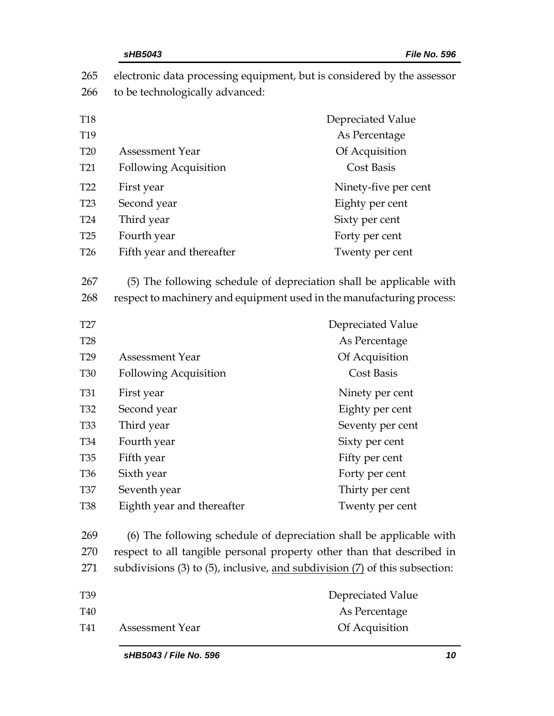|                 | sHB5043                                                                                                                                      | File No. 596                                                                       |  |  |
|-----------------|----------------------------------------------------------------------------------------------------------------------------------------------|------------------------------------------------------------------------------------|--|--|
| 265<br>266      | electronic data processing equipment, but is considered by the assessor<br>to be technologically advanced:                                   |                                                                                    |  |  |
| <b>T18</b>      |                                                                                                                                              | Depreciated Value                                                                  |  |  |
| T19             |                                                                                                                                              | As Percentage                                                                      |  |  |
| <b>T20</b>      | <b>Assessment Year</b>                                                                                                                       | Of Acquisition                                                                     |  |  |
| T <sub>21</sub> | <b>Following Acquisition</b>                                                                                                                 | <b>Cost Basis</b>                                                                  |  |  |
| T <sub>22</sub> | First year                                                                                                                                   | Ninety-five per cent                                                               |  |  |
|                 | Second year                                                                                                                                  | Eighty per cent                                                                    |  |  |
|                 | Third year                                                                                                                                   | Sixty per cent                                                                     |  |  |
|                 | Fourth year                                                                                                                                  | Forty per cent                                                                     |  |  |
|                 | Fifth year and thereafter                                                                                                                    | Twenty per cent                                                                    |  |  |
| 267<br>268      | (5) The following schedule of depreciation shall be applicable with<br>respect to machinery and equipment used in the manufacturing process: |                                                                                    |  |  |
| T27             |                                                                                                                                              | Depreciated Value                                                                  |  |  |
|                 |                                                                                                                                              | As Percentage                                                                      |  |  |
|                 | <b>Assessment Year</b>                                                                                                                       | Of Acquisition                                                                     |  |  |
|                 | <b>Following Acquisition</b>                                                                                                                 | <b>Cost Basis</b>                                                                  |  |  |
|                 | First year                                                                                                                                   | Ninety per cent                                                                    |  |  |
|                 | Second year                                                                                                                                  | Eighty per cent                                                                    |  |  |
|                 | Third year                                                                                                                                   | Seventy per cent                                                                   |  |  |
|                 | Fourth year                                                                                                                                  | Sixty per cent                                                                     |  |  |
|                 | Fifth year                                                                                                                                   | Fifty per cent                                                                     |  |  |
|                 | Sixth year                                                                                                                                   | Forty per cent                                                                     |  |  |
|                 | Seventh year                                                                                                                                 | Thirty per cent                                                                    |  |  |
|                 | Eighth year and thereafter                                                                                                                   | Twenty per cent                                                                    |  |  |
| 269             |                                                                                                                                              | (6) The following schedule of depreciation shall be applicable with                |  |  |
|                 |                                                                                                                                              | respect to all tangible personal property other than that described in             |  |  |
|                 |                                                                                                                                              | subdivisions $(3)$ to $(5)$ , inclusive, and subdivision $(7)$ of this subsection: |  |  |
|                 |                                                                                                                                              | Depreciated Value                                                                  |  |  |
|                 |                                                                                                                                              | As Percentage                                                                      |  |  |
|                 | <b>Assessment Year</b>                                                                                                                       | Of Acquisition                                                                     |  |  |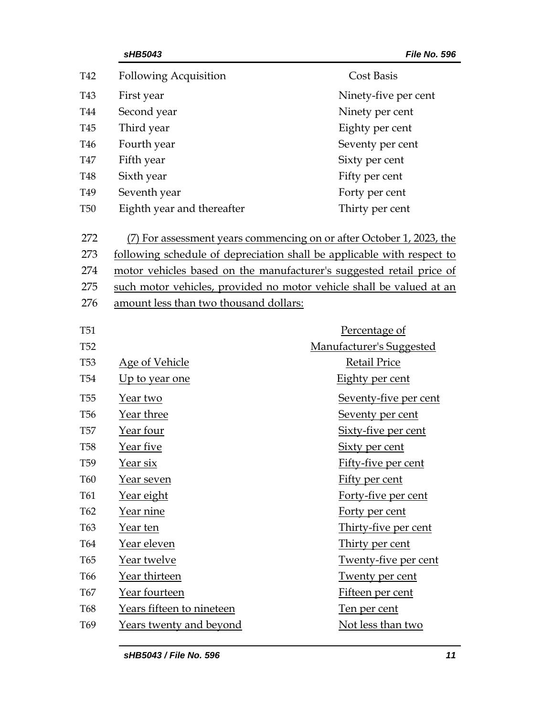|                 | sHB5043                                | File No. 596                                                           |  |
|-----------------|----------------------------------------|------------------------------------------------------------------------|--|
| T42             | <b>Following Acquisition</b>           | <b>Cost Basis</b>                                                      |  |
| T43             | First year                             | Ninety-five per cent                                                   |  |
| T44             | Second year                            | Ninety per cent                                                        |  |
| T <sub>45</sub> | Third year                             | Eighty per cent                                                        |  |
| T <sub>46</sub> | Fourth year                            | Seventy per cent                                                       |  |
| <b>T47</b>      | Fifth year                             | Sixty per cent                                                         |  |
| <b>T48</b>      | Sixth year                             | Fifty per cent                                                         |  |
| T <sub>49</sub> | Seventh year                           | Forty per cent                                                         |  |
| <b>T50</b>      | Eighth year and thereafter             | Thirty per cent                                                        |  |
| 272             |                                        | (7) For assessment years commencing on or after October 1, 2023, the   |  |
| 273             |                                        | following schedule of depreciation shall be applicable with respect to |  |
| 274             |                                        | motor vehicles based on the manufacturer's suggested retail price of   |  |
| 275             |                                        | such motor vehicles, provided no motor vehicle shall be valued at an   |  |
| 276             | amount less than two thousand dollars: |                                                                        |  |
| <b>T51</b>      |                                        | Percentage of                                                          |  |
| <b>T52</b>      |                                        | Manufacturer's Suggested                                               |  |
| <b>T53</b>      | <u>Age of Vehicle</u>                  | <b>Retail Price</b>                                                    |  |
| <b>T54</b>      | Up to year one                         | Eighty per cent                                                        |  |
| <b>T55</b>      | Year two                               | Seventy-five per cent                                                  |  |
| T <sub>56</sub> | Year three                             | <b>Seventy per cent</b>                                                |  |
| <b>T57</b>      | Year four                              | Sixty-five per cent                                                    |  |
| <b>T58</b>      | Year five                              | Sixty per cent                                                         |  |
| T <sub>59</sub> | Year six                               | Fifty-five per cent                                                    |  |
| <b>T60</b>      | <u>Year seven</u>                      | Fifty per cent                                                         |  |
| T61             | <u>Year eight</u>                      | Forty-five per cent                                                    |  |
| T62             | <u>Year nine</u>                       | Forty per cent                                                         |  |
| T63             | <u>Year ten</u>                        | Thirty-five per cent                                                   |  |
| <b>T64</b>      | Year eleven                            | Thirty per cent                                                        |  |
| T65             | Year twelve                            | <b>Twenty-five per cent</b>                                            |  |
| T <sub>66</sub> | Year thirteen                          | Twenty per cent                                                        |  |
| <b>T67</b>      | Year fourteen                          | Fifteen per cent                                                       |  |
| <b>T68</b>      | Years fifteen to nineteen              | Ten per cent                                                           |  |
| T <sub>69</sub> | <b>Years twenty and beyond</b>         | Not less than two                                                      |  |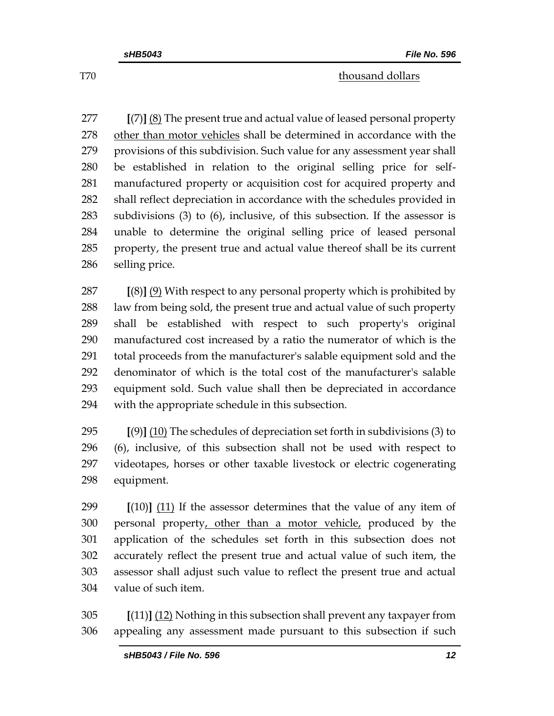T<sub>70</sub> thousand dollars the set of the set of the set of the set of the set of the set of the set of the set of the set of the set of the set of the set of the set of the set of the set of the set of the set of the set of t

 **[**(7)**]** (8) The present true and actual value of leased personal property other than motor vehicles shall be determined in accordance with the provisions of this subdivision. Such value for any assessment year shall be established in relation to the original selling price for self- manufactured property or acquisition cost for acquired property and shall reflect depreciation in accordance with the schedules provided in subdivisions (3) to (6), inclusive, of this subsection. If the assessor is unable to determine the original selling price of leased personal property, the present true and actual value thereof shall be its current selling price.

 **[**(8)**]** (9) With respect to any personal property which is prohibited by law from being sold, the present true and actual value of such property shall be established with respect to such property's original manufactured cost increased by a ratio the numerator of which is the total proceeds from the manufacturer's salable equipment sold and the denominator of which is the total cost of the manufacturer's salable equipment sold. Such value shall then be depreciated in accordance with the appropriate schedule in this subsection.

 **[**(9)**]** (10) The schedules of depreciation set forth in subdivisions (3) to (6), inclusive, of this subsection shall not be used with respect to videotapes, horses or other taxable livestock or electric cogenerating equipment.

 **[**(10)**]** (11) If the assessor determines that the value of any item of 300 personal property, other than a motor vehicle, produced by the application of the schedules set forth in this subsection does not accurately reflect the present true and actual value of such item, the assessor shall adjust such value to reflect the present true and actual value of such item.

 **[**(11)**]** (12) Nothing in this subsection shall prevent any taxpayer from appealing any assessment made pursuant to this subsection if such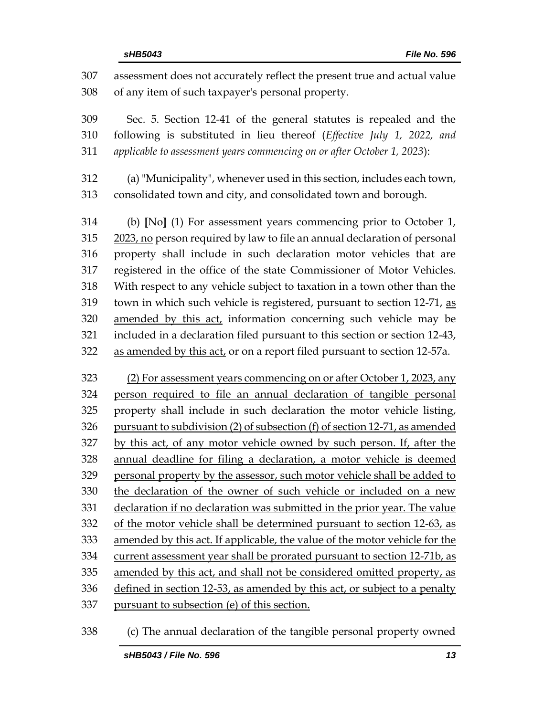| 307<br>308 | assessment does not accurately reflect the present true and actual value<br>of any item of such taxpayer's personal property. |
|------------|-------------------------------------------------------------------------------------------------------------------------------|
| 309        | Sec. 5. Section 12-41 of the general statutes is repealed and the                                                             |
| 310        | following is substituted in lieu thereof (Effective July 1, 2022, and                                                         |
| 311        | applicable to assessment years commencing on or after October 1, 2023):                                                       |
| 312        | (a) "Municipality", whenever used in this section, includes each town,                                                        |
| 313        | consolidated town and city, and consolidated town and borough.                                                                |
| 314        | (b) [No] (1) For assessment years commencing prior to October $11$                                                            |
| 315        | 2023, no person required by law to file an annual declaration of personal                                                     |
| 316        | property shall include in such declaration motor vehicles that are                                                            |
| 317        | registered in the office of the state Commissioner of Motor Vehicles.                                                         |
| 318        | With respect to any vehicle subject to taxation in a town other than the                                                      |
| 319        | town in which such vehicle is registered, pursuant to section 12-71, as                                                       |
| 320        | amended by this act, information concerning such vehicle may be                                                               |
| 321        | included in a declaration filed pursuant to this section or section 12-43,                                                    |
| 322        | as amended by this act, or on a report filed pursuant to section 12-57a.                                                      |
| 323        | (2) For assessment years commencing on or after October 1, 2023, any                                                          |
| 324        | person required to file an annual declaration of tangible personal                                                            |
| 325        | property shall include in such declaration the motor vehicle listing,                                                         |
| 326        | pursuant to subdivision (2) of subsection (f) of section 12-71, as amended                                                    |
| 327        | by this act, of any motor vehicle owned by such person. If, after the                                                         |
| 328        | annual deadline for filing a declaration, a motor vehicle is deemed                                                           |
| 329        | personal property by the assessor, such motor vehicle shall be added to                                                       |
| 330        | the declaration of the owner of such vehicle or included on a new                                                             |
| 331        | declaration if no declaration was submitted in the prior year. The value                                                      |
| 332        | of the motor vehicle shall be determined pursuant to section 12-63, as                                                        |
| 333        | amended by this act. If applicable, the value of the motor vehicle for the                                                    |
| 334        | current assessment year shall be prorated pursuant to section 12-71b, as                                                      |
| 335        | amended by this act, and shall not be considered omitted property, as                                                         |
| 336        | defined in section 12-53, as amended by this act, or subject to a penalty                                                     |
| 337        | pursuant to subsection (e) of this section.                                                                                   |
|            |                                                                                                                               |

(c) The annual declaration of the tangible personal property owned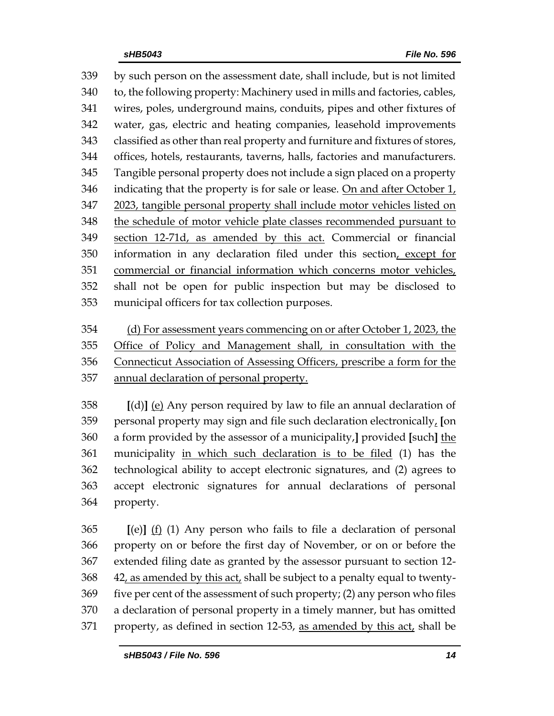by such person on the assessment date, shall include, but is not limited to, the following property: Machinery used in mills and factories, cables, wires, poles, underground mains, conduits, pipes and other fixtures of water, gas, electric and heating companies, leasehold improvements classified as other than real property and furniture and fixtures of stores, offices, hotels, restaurants, taverns, halls, factories and manufacturers. Tangible personal property does not include a sign placed on a property indicating that the property is for sale or lease. On and after October 1, 2023, tangible personal property shall include motor vehicles listed on the schedule of motor vehicle plate classes recommended pursuant to section 12-71d, as amended by this act. Commercial or financial information in any declaration filed under this section, except for commercial or financial information which concerns motor vehicles, shall not be open for public inspection but may be disclosed to municipal officers for tax collection purposes.

 (d) For assessment years commencing on or after October 1, 2023, the Office of Policy and Management shall, in consultation with the Connecticut Association of Assessing Officers, prescribe a form for the annual declaration of personal property.

 **[**(d)**]** (e) Any person required by law to file an annual declaration of personal property may sign and file such declaration electronically, **[**on a form provided by the assessor of a municipality,**]** provided **[**such**]** the municipality in which such declaration is to be filed (1) has the technological ability to accept electronic signatures, and (2) agrees to accept electronic signatures for annual declarations of personal property.

 **[**(e)**]** (f) (1) Any person who fails to file a declaration of personal property on or before the first day of November, or on or before the extended filing date as granted by the assessor pursuant to section 12- 42, as amended by this act, shall be subject to a penalty equal to twenty- five per cent of the assessment of such property; (2) any person who files a declaration of personal property in a timely manner, but has omitted 371 property, as defined in section 12-53, as amended by this act, shall be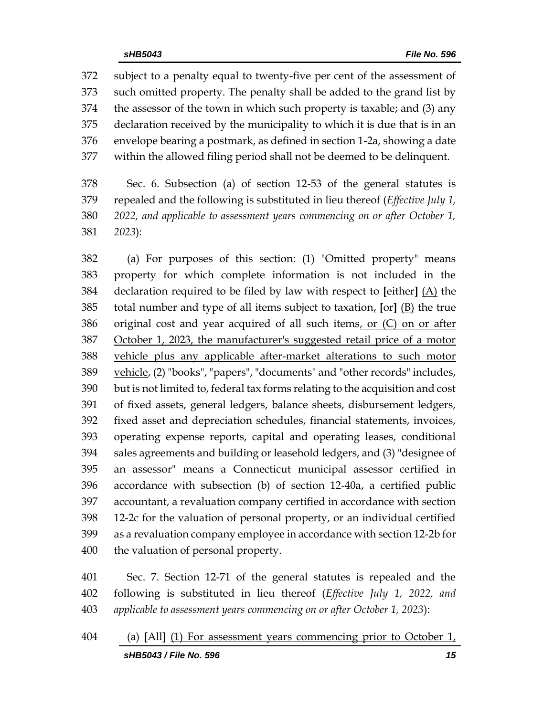subject to a penalty equal to twenty-five per cent of the assessment of such omitted property. The penalty shall be added to the grand list by the assessor of the town in which such property is taxable; and (3) any declaration received by the municipality to which it is due that is in an envelope bearing a postmark, as defined in section 1-2a, showing a date within the allowed filing period shall not be deemed to be delinquent.

 Sec. 6. Subsection (a) of section 12-53 of the general statutes is repealed and the following is substituted in lieu thereof (*Effective July 1, 2022, and applicable to assessment years commencing on or after October 1, 2023*):

 (a) For purposes of this section: (1) "Omitted property" means property for which complete information is not included in the declaration required to be filed by law with respect to **[**either**]** (A) the total number and type of all items subject to taxation, **[**or**]** (B) the true 386 original cost and year acquired of all such items, or (C) on or after October 1, 2023, the manufacturer's suggested retail price of a motor vehicle plus any applicable after-market alterations to such motor 389 vehicle, (2) "books", "papers", "documents" and "other records" includes, but is not limited to, federal tax forms relating to the acquisition and cost of fixed assets, general ledgers, balance sheets, disbursement ledgers, fixed asset and depreciation schedules, financial statements, invoices, operating expense reports, capital and operating leases, conditional sales agreements and building or leasehold ledgers, and (3) "designee of an assessor" means a Connecticut municipal assessor certified in accordance with subsection (b) of section 12-40a, a certified public accountant, a revaluation company certified in accordance with section 12-2c for the valuation of personal property, or an individual certified as a revaluation company employee in accordance with section 12-2b for the valuation of personal property.

 Sec. 7. Section 12-71 of the general statutes is repealed and the following is substituted in lieu thereof (*Effective July 1, 2022, and applicable to assessment years commencing on or after October 1, 2023*):

*sHB5043 / File No. 596 15* (a) **[**All**]** (1) For assessment years commencing prior to October 1,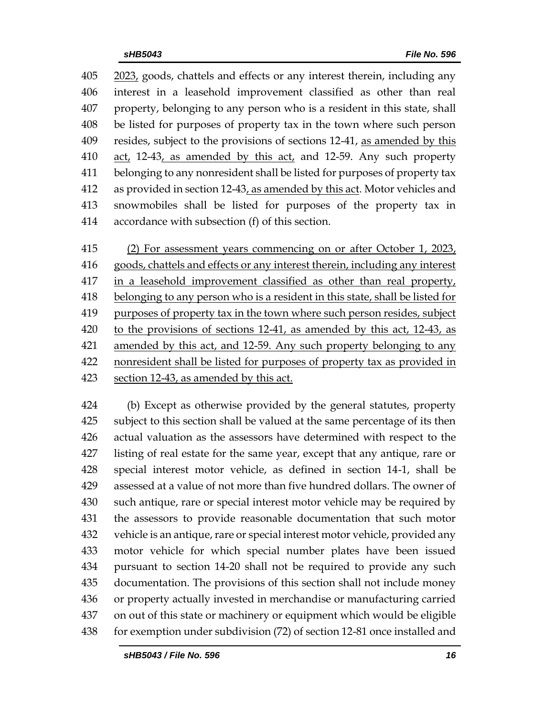2023, goods, chattels and effects or any interest therein, including any interest in a leasehold improvement classified as other than real property, belonging to any person who is a resident in this state, shall be listed for purposes of property tax in the town where such person 409 resides, subject to the provisions of sections 12-41, as amended by this 410 act, 12-43, as amended by this act, and 12-59. Any such property belonging to any nonresident shall be listed for purposes of property tax as provided in section 12-43, as amended by this act. Motor vehicles and snowmobiles shall be listed for purposes of the property tax in accordance with subsection (f) of this section.

 (2) For assessment years commencing on or after October 1, 2023, goods, chattels and effects or any interest therein, including any interest 417 in a leasehold improvement classified as other than real property, belonging to any person who is a resident in this state, shall be listed for purposes of property tax in the town where such person resides, subject to the provisions of sections 12-41, as amended by this act, 12-43, as 421 amended by this act, and 12-59. Any such property belonging to any nonresident shall be listed for purposes of property tax as provided in section 12-43, as amended by this act.

 (b) Except as otherwise provided by the general statutes, property subject to this section shall be valued at the same percentage of its then actual valuation as the assessors have determined with respect to the listing of real estate for the same year, except that any antique, rare or special interest motor vehicle, as defined in section 14-1, shall be assessed at a value of not more than five hundred dollars. The owner of such antique, rare or special interest motor vehicle may be required by the assessors to provide reasonable documentation that such motor vehicle is an antique, rare or special interest motor vehicle, provided any motor vehicle for which special number plates have been issued pursuant to section 14-20 shall not be required to provide any such documentation. The provisions of this section shall not include money or property actually invested in merchandise or manufacturing carried on out of this state or machinery or equipment which would be eligible for exemption under subdivision (72) of section 12-81 once installed and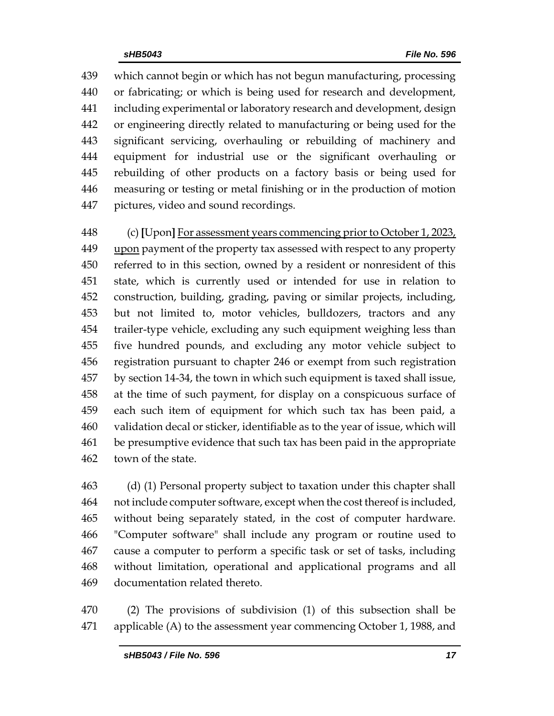which cannot begin or which has not begun manufacturing, processing or fabricating; or which is being used for research and development, including experimental or laboratory research and development, design or engineering directly related to manufacturing or being used for the significant servicing, overhauling or rebuilding of machinery and equipment for industrial use or the significant overhauling or rebuilding of other products on a factory basis or being used for measuring or testing or metal finishing or in the production of motion pictures, video and sound recordings.

 (c) **[**Upon**]** For assessment years commencing prior to October 1, 2023, upon payment of the property tax assessed with respect to any property referred to in this section, owned by a resident or nonresident of this state, which is currently used or intended for use in relation to construction, building, grading, paving or similar projects, including, but not limited to, motor vehicles, bulldozers, tractors and any trailer-type vehicle, excluding any such equipment weighing less than five hundred pounds, and excluding any motor vehicle subject to registration pursuant to chapter 246 or exempt from such registration by section 14-34, the town in which such equipment is taxed shall issue, at the time of such payment, for display on a conspicuous surface of each such item of equipment for which such tax has been paid, a validation decal or sticker, identifiable as to the year of issue, which will be presumptive evidence that such tax has been paid in the appropriate town of the state.

 (d) (1) Personal property subject to taxation under this chapter shall not include computer software, except when the cost thereof is included, without being separately stated, in the cost of computer hardware. "Computer software" shall include any program or routine used to cause a computer to perform a specific task or set of tasks, including without limitation, operational and applicational programs and all documentation related thereto.

 (2) The provisions of subdivision (1) of this subsection shall be 471 applicable (A) to the assessment year commencing October 1, 1988, and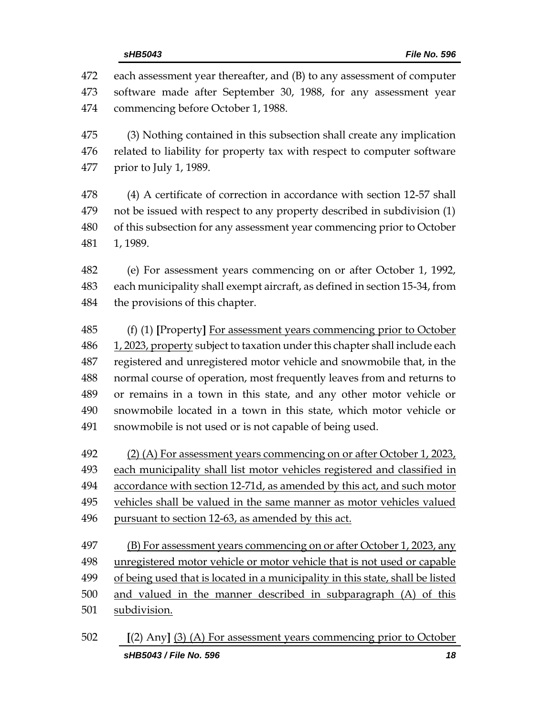each assessment year thereafter, and (B) to any assessment of computer software made after September 30, 1988, for any assessment year commencing before October 1, 1988.

 (3) Nothing contained in this subsection shall create any implication related to liability for property tax with respect to computer software prior to July 1, 1989.

 (4) A certificate of correction in accordance with section 12-57 shall not be issued with respect to any property described in subdivision (1) of this subsection for any assessment year commencing prior to October 1, 1989.

 (e) For assessment years commencing on or after October 1, 1992, each municipality shall exempt aircraft, as defined in section 15-34, from the provisions of this chapter.

 (f) (1) **[**Property**]** For assessment years commencing prior to October 1, 2023, property subject to taxation under this chapter shall include each registered and unregistered motor vehicle and snowmobile that, in the normal course of operation, most frequently leaves from and returns to or remains in a town in this state, and any other motor vehicle or snowmobile located in a town in this state, which motor vehicle or snowmobile is not used or is not capable of being used.

 (2) (A) For assessment years commencing on or after October 1, 2023, each municipality shall list motor vehicles registered and classified in accordance with section 12-71d, as amended by this act, and such motor vehicles shall be valued in the same manner as motor vehicles valued pursuant to section 12-63, as amended by this act.

 (B) For assessment years commencing on or after October 1, 2023, any unregistered motor vehicle or motor vehicle that is not used or capable 499 of being used that is located in a municipality in this state, shall be listed and valued in the manner described in subparagraph (A) of this subdivision.

*sHB5043 / File No. 596 18* **[**(2) Any**]** (3) (A) For assessment years commencing prior to October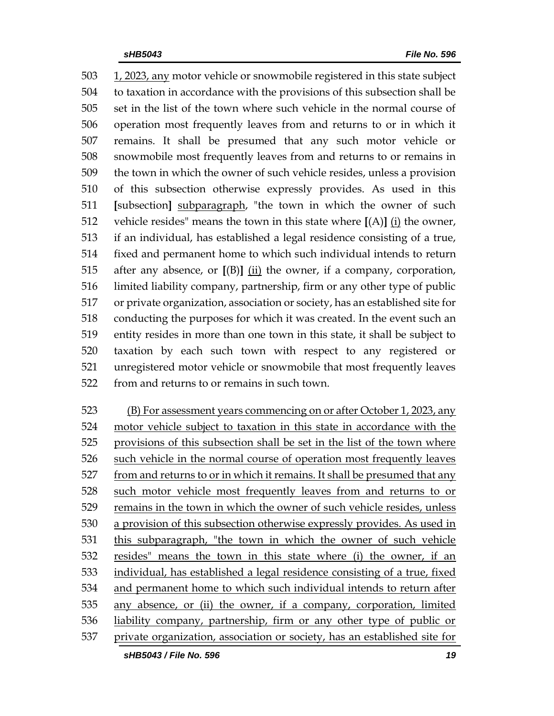1, 2023, any motor vehicle or snowmobile registered in this state subject to taxation in accordance with the provisions of this subsection shall be set in the list of the town where such vehicle in the normal course of operation most frequently leaves from and returns to or in which it remains. It shall be presumed that any such motor vehicle or snowmobile most frequently leaves from and returns to or remains in the town in which the owner of such vehicle resides, unless a provision of this subsection otherwise expressly provides. As used in this **[**subsection**]** subparagraph, "the town in which the owner of such vehicle resides" means the town in this state where **[**(A)**]** (i) the owner, if an individual, has established a legal residence consisting of a true, fixed and permanent home to which such individual intends to return after any absence, or **[**(B)**]** (ii) the owner, if a company, corporation, limited liability company, partnership, firm or any other type of public or private organization, association or society, has an established site for conducting the purposes for which it was created. In the event such an entity resides in more than one town in this state, it shall be subject to taxation by each such town with respect to any registered or unregistered motor vehicle or snowmobile that most frequently leaves from and returns to or remains in such town.

 (B) For assessment years commencing on or after October 1, 2023, any motor vehicle subject to taxation in this state in accordance with the provisions of this subsection shall be set in the list of the town where such vehicle in the normal course of operation most frequently leaves from and returns to or in which it remains. It shall be presumed that any such motor vehicle most frequently leaves from and returns to or remains in the town in which the owner of such vehicle resides, unless a provision of this subsection otherwise expressly provides. As used in this subparagraph, "the town in which the owner of such vehicle resides" means the town in this state where (i) the owner, if an individual, has established a legal residence consisting of a true, fixed and permanent home to which such individual intends to return after any absence, or (ii) the owner, if a company, corporation, limited liability company, partnership, firm or any other type of public or private organization, association or society, has an established site for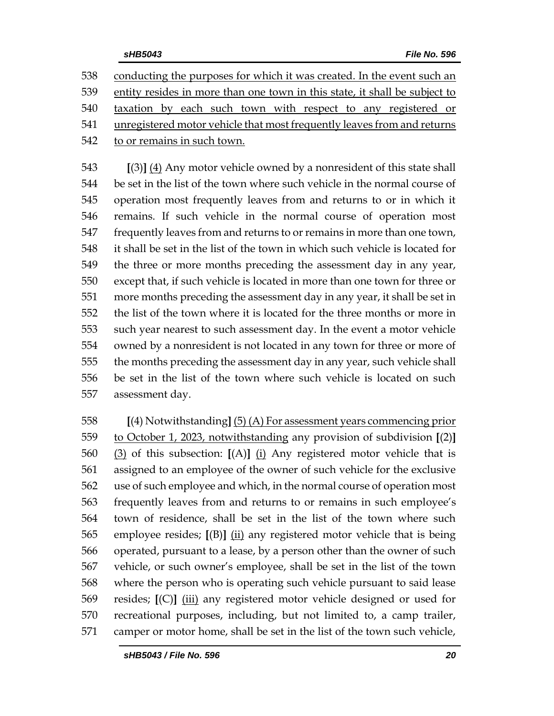conducting the purposes for which it was created. In the event such an entity resides in more than one town in this state, it shall be subject to taxation by each such town with respect to any registered or unregistered motor vehicle that most frequently leaves from and returns to or remains in such town.

 **[**(3)**]** (4) Any motor vehicle owned by a nonresident of this state shall be set in the list of the town where such vehicle in the normal course of operation most frequently leaves from and returns to or in which it remains. If such vehicle in the normal course of operation most frequently leaves from and returns to or remains in more than one town, it shall be set in the list of the town in which such vehicle is located for the three or more months preceding the assessment day in any year, except that, if such vehicle is located in more than one town for three or more months preceding the assessment day in any year, it shall be set in the list of the town where it is located for the three months or more in such year nearest to such assessment day. In the event a motor vehicle owned by a nonresident is not located in any town for three or more of the months preceding the assessment day in any year, such vehicle shall be set in the list of the town where such vehicle is located on such assessment day.

 **[**(4) Notwithstanding**]** (5) (A) For assessment years commencing prior to October 1, 2023, notwithstanding any provision of subdivision **[**(2)**]** (3) of this subsection: **[**(A)**]** (i) Any registered motor vehicle that is assigned to an employee of the owner of such vehicle for the exclusive use of such employee and which, in the normal course of operation most frequently leaves from and returns to or remains in such employee's town of residence, shall be set in the list of the town where such employee resides; **[**(B)**]** (ii) any registered motor vehicle that is being operated, pursuant to a lease, by a person other than the owner of such vehicle, or such owner's employee, shall be set in the list of the town where the person who is operating such vehicle pursuant to said lease resides; **[**(C)**]** (iii) any registered motor vehicle designed or used for recreational purposes, including, but not limited to, a camp trailer, camper or motor home, shall be set in the list of the town such vehicle,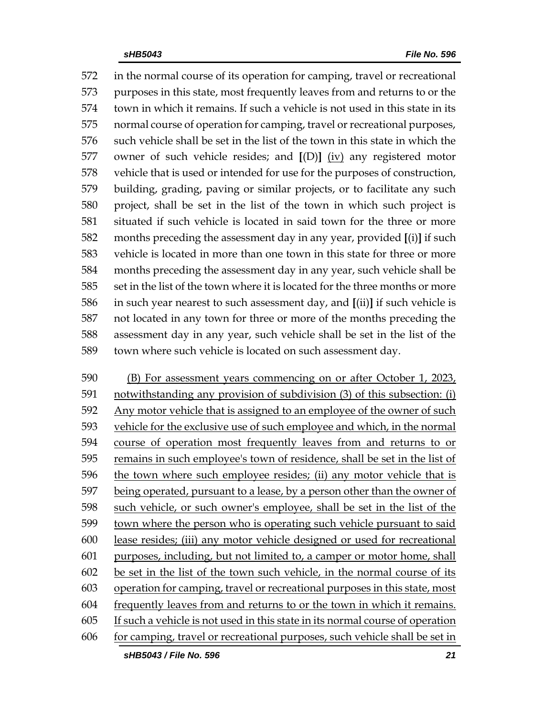in the normal course of its operation for camping, travel or recreational purposes in this state, most frequently leaves from and returns to or the town in which it remains. If such a vehicle is not used in this state in its normal course of operation for camping, travel or recreational purposes, such vehicle shall be set in the list of the town in this state in which the owner of such vehicle resides; and **[**(D)**]** (iv) any registered motor vehicle that is used or intended for use for the purposes of construction, building, grading, paving or similar projects, or to facilitate any such project, shall be set in the list of the town in which such project is situated if such vehicle is located in said town for the three or more months preceding the assessment day in any year, provided **[**(i)**]** if such vehicle is located in more than one town in this state for three or more months preceding the assessment day in any year, such vehicle shall be set in the list of the town where it is located for the three months or more in such year nearest to such assessment day, and **[**(ii)**]** if such vehicle is not located in any town for three or more of the months preceding the assessment day in any year, such vehicle shall be set in the list of the town where such vehicle is located on such assessment day.

 (B) For assessment years commencing on or after October 1, 2023, notwithstanding any provision of subdivision (3) of this subsection: (i) Any motor vehicle that is assigned to an employee of the owner of such vehicle for the exclusive use of such employee and which, in the normal course of operation most frequently leaves from and returns to or remains in such employee's town of residence, shall be set in the list of the town where such employee resides; (ii) any motor vehicle that is being operated, pursuant to a lease, by a person other than the owner of such vehicle, or such owner's employee, shall be set in the list of the town where the person who is operating such vehicle pursuant to said lease resides; (iii) any motor vehicle designed or used for recreational purposes, including, but not limited to, a camper or motor home, shall be set in the list of the town such vehicle, in the normal course of its operation for camping, travel or recreational purposes in this state, most frequently leaves from and returns to or the town in which it remains. If such a vehicle is not used in this state in its normal course of operation for camping, travel or recreational purposes, such vehicle shall be set in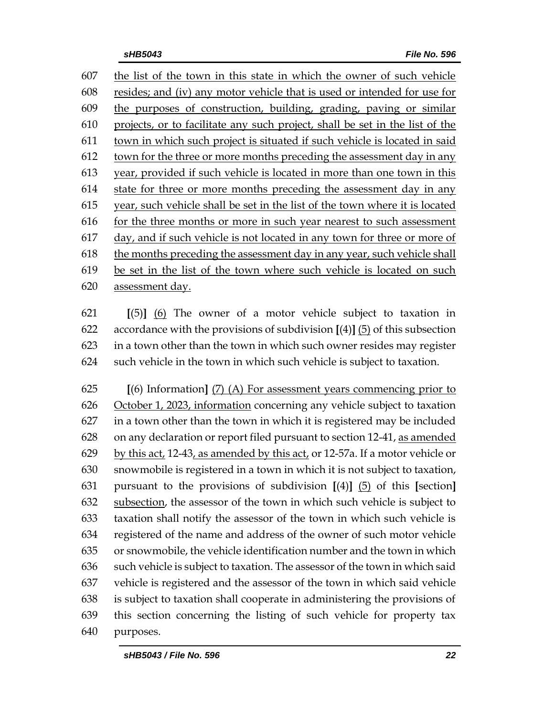the list of the town in this state in which the owner of such vehicle resides; and (iv) any motor vehicle that is used or intended for use for the purposes of construction, building, grading, paving or similar projects, or to facilitate any such project, shall be set in the list of the town in which such project is situated if such vehicle is located in said town for the three or more months preceding the assessment day in any year, provided if such vehicle is located in more than one town in this state for three or more months preceding the assessment day in any year, such vehicle shall be set in the list of the town where it is located for the three months or more in such year nearest to such assessment day, and if such vehicle is not located in any town for three or more of the months preceding the assessment day in any year, such vehicle shall be set in the list of the town where such vehicle is located on such assessment day.

 **[**(5)**]** (6) The owner of a motor vehicle subject to taxation in accordance with the provisions of subdivision **[**(4)**]** (5) of this subsection in a town other than the town in which such owner resides may register such vehicle in the town in which such vehicle is subject to taxation.

 **[**(6) Information**]** (7) (A) For assessment years commencing prior to October 1, 2023, information concerning any vehicle subject to taxation in a town other than the town in which it is registered may be included on any declaration or report filed pursuant to section 12-41, as amended by this act, 12-43, as amended by this act, or 12-57a. If a motor vehicle or snowmobile is registered in a town in which it is not subject to taxation, pursuant to the provisions of subdivision **[**(4)**]** (5) of this **[**section**]** subsection, the assessor of the town in which such vehicle is subject to taxation shall notify the assessor of the town in which such vehicle is registered of the name and address of the owner of such motor vehicle or snowmobile, the vehicle identification number and the town in which such vehicle is subject to taxation. The assessor of the town in which said vehicle is registered and the assessor of the town in which said vehicle is subject to taxation shall cooperate in administering the provisions of this section concerning the listing of such vehicle for property tax purposes.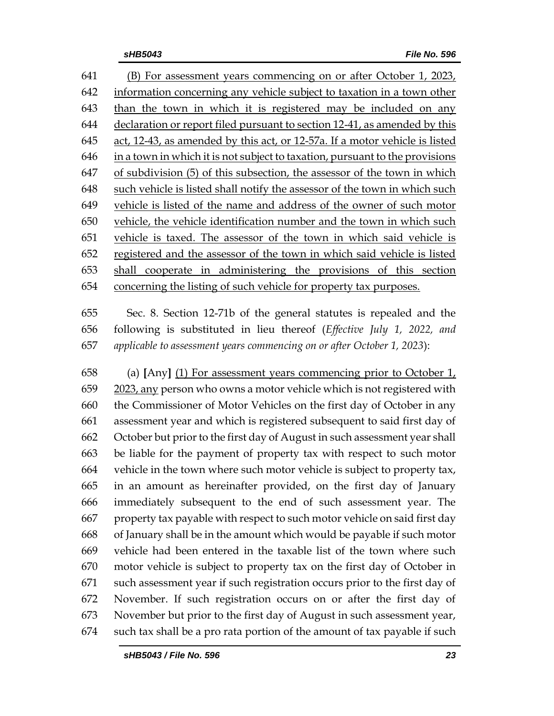(B) For assessment years commencing on or after October 1, 2023, information concerning any vehicle subject to taxation in a town other than the town in which it is registered may be included on any declaration or report filed pursuant to section 12-41, as amended by this act, 12-43, as amended by this act, or 12-57a. If a motor vehicle is listed in a town in which it is not subject to taxation, pursuant to the provisions of subdivision (5) of this subsection, the assessor of the town in which such vehicle is listed shall notify the assessor of the town in which such vehicle is listed of the name and address of the owner of such motor vehicle, the vehicle identification number and the town in which such vehicle is taxed. The assessor of the town in which said vehicle is registered and the assessor of the town in which said vehicle is listed shall cooperate in administering the provisions of this section concerning the listing of such vehicle for property tax purposes.

 Sec. 8. Section 12-71b of the general statutes is repealed and the following is substituted in lieu thereof (*Effective July 1, 2022, and applicable to assessment years commencing on or after October 1, 2023*):

 (a) **[**Any**]** (1) For assessment years commencing prior to October 1, 2023, any person who owns a motor vehicle which is not registered with the Commissioner of Motor Vehicles on the first day of October in any assessment year and which is registered subsequent to said first day of October but prior to the first day of August in such assessment year shall be liable for the payment of property tax with respect to such motor vehicle in the town where such motor vehicle is subject to property tax, in an amount as hereinafter provided, on the first day of January immediately subsequent to the end of such assessment year. The property tax payable with respect to such motor vehicle on said first day of January shall be in the amount which would be payable if such motor vehicle had been entered in the taxable list of the town where such motor vehicle is subject to property tax on the first day of October in such assessment year if such registration occurs prior to the first day of November. If such registration occurs on or after the first day of November but prior to the first day of August in such assessment year, such tax shall be a pro rata portion of the amount of tax payable if such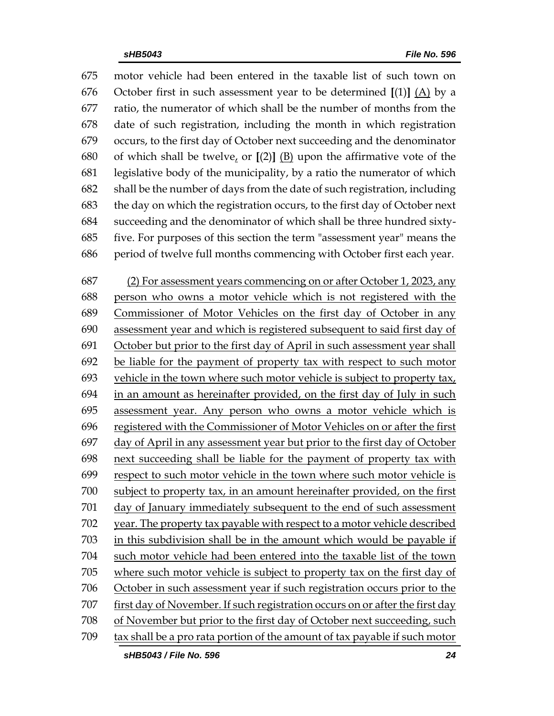motor vehicle had been entered in the taxable list of such town on October first in such assessment year to be determined **[**(1)**]** (A) by a ratio, the numerator of which shall be the number of months from the date of such registration, including the month in which registration occurs, to the first day of October next succeeding and the denominator 680 of which shall be twelve, or  $[(2)]$   $(B)$  upon the affirmative vote of the legislative body of the municipality, by a ratio the numerator of which shall be the number of days from the date of such registration, including the day on which the registration occurs, to the first day of October next succeeding and the denominator of which shall be three hundred sixty- five. For purposes of this section the term "assessment year" means the period of twelve full months commencing with October first each year.

 (2) For assessment years commencing on or after October 1, 2023, any person who owns a motor vehicle which is not registered with the Commissioner of Motor Vehicles on the first day of October in any assessment year and which is registered subsequent to said first day of October but prior to the first day of April in such assessment year shall be liable for the payment of property tax with respect to such motor vehicle in the town where such motor vehicle is subject to property tax, in an amount as hereinafter provided, on the first day of July in such assessment year. Any person who owns a motor vehicle which is registered with the Commissioner of Motor Vehicles on or after the first day of April in any assessment year but prior to the first day of October next succeeding shall be liable for the payment of property tax with respect to such motor vehicle in the town where such motor vehicle is subject to property tax, in an amount hereinafter provided, on the first day of January immediately subsequent to the end of such assessment year. The property tax payable with respect to a motor vehicle described in this subdivision shall be in the amount which would be payable if such motor vehicle had been entered into the taxable list of the town where such motor vehicle is subject to property tax on the first day of October in such assessment year if such registration occurs prior to the first day of November. If such registration occurs on or after the first day of November but prior to the first day of October next succeeding, such tax shall be a pro rata portion of the amount of tax payable if such motor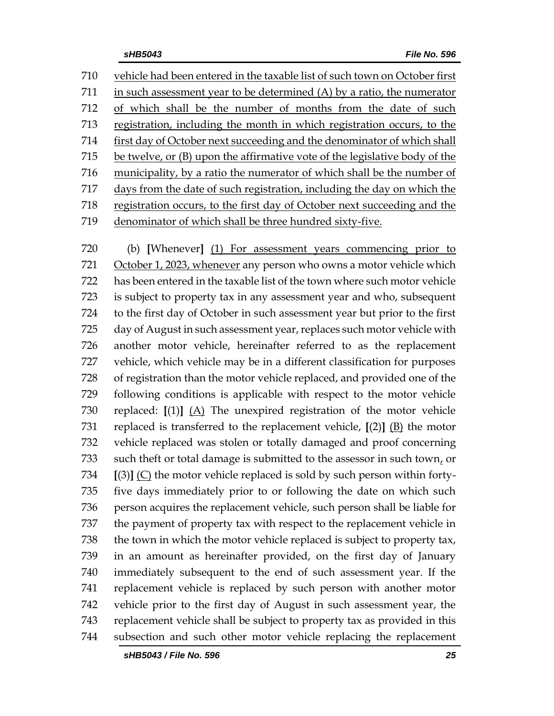vehicle had been entered in the taxable list of such town on October first in such assessment year to be determined (A) by a ratio, the numerator of which shall be the number of months from the date of such registration, including the month in which registration occurs, to the first day of October next succeeding and the denominator of which shall be twelve, or (B) upon the affirmative vote of the legislative body of the municipality, by a ratio the numerator of which shall be the number of days from the date of such registration, including the day on which the registration occurs, to the first day of October next succeeding and the 719 denominator of which shall be three hundred sixty-five.

 (b) **[**Whenever**]** (1) For assessment years commencing prior to October 1, 2023, whenever any person who owns a motor vehicle which has been entered in the taxable list of the town where such motor vehicle is subject to property tax in any assessment year and who, subsequent to the first day of October in such assessment year but prior to the first day of August in such assessment year, replaces such motor vehicle with another motor vehicle, hereinafter referred to as the replacement vehicle, which vehicle may be in a different classification for purposes of registration than the motor vehicle replaced, and provided one of the following conditions is applicable with respect to the motor vehicle replaced: **[**(1)**]** (A) The unexpired registration of the motor vehicle replaced is transferred to the replacement vehicle, **[**(2)**]** (B) the motor vehicle replaced was stolen or totally damaged and proof concerning such theft or total damage is submitted to the assessor in such town, or **[**(3)**]** (C) the motor vehicle replaced is sold by such person within forty- five days immediately prior to or following the date on which such person acquires the replacement vehicle, such person shall be liable for the payment of property tax with respect to the replacement vehicle in the town in which the motor vehicle replaced is subject to property tax, in an amount as hereinafter provided, on the first day of January immediately subsequent to the end of such assessment year. If the replacement vehicle is replaced by such person with another motor vehicle prior to the first day of August in such assessment year, the replacement vehicle shall be subject to property tax as provided in this subsection and such other motor vehicle replacing the replacement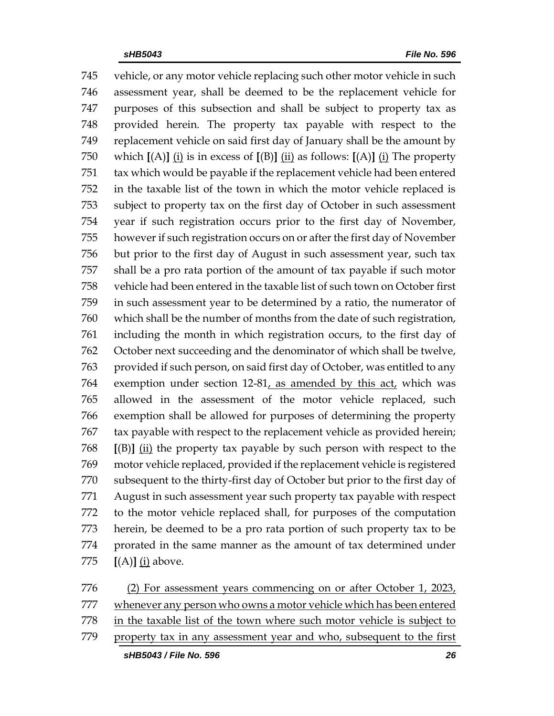vehicle, or any motor vehicle replacing such other motor vehicle in such assessment year, shall be deemed to be the replacement vehicle for purposes of this subsection and shall be subject to property tax as provided herein. The property tax payable with respect to the replacement vehicle on said first day of January shall be the amount by which **[**(A)**]** (i) is in excess of **[**(B)**]** (ii) as follows: **[**(A)**]** (i) The property tax which would be payable if the replacement vehicle had been entered in the taxable list of the town in which the motor vehicle replaced is subject to property tax on the first day of October in such assessment year if such registration occurs prior to the first day of November, however if such registration occurs on or after the first day of November but prior to the first day of August in such assessment year, such tax shall be a pro rata portion of the amount of tax payable if such motor vehicle had been entered in the taxable list of such town on October first in such assessment year to be determined by a ratio, the numerator of which shall be the number of months from the date of such registration, including the month in which registration occurs, to the first day of October next succeeding and the denominator of which shall be twelve, provided if such person, on said first day of October, was entitled to any exemption under section 12-81, as amended by this act, which was allowed in the assessment of the motor vehicle replaced, such exemption shall be allowed for purposes of determining the property tax payable with respect to the replacement vehicle as provided herein; **[**(B)**]** (ii) the property tax payable by such person with respect to the motor vehicle replaced, provided if the replacement vehicle is registered subsequent to the thirty-first day of October but prior to the first day of August in such assessment year such property tax payable with respect to the motor vehicle replaced shall, for purposes of the computation herein, be deemed to be a pro rata portion of such property tax to be prorated in the same manner as the amount of tax determined under **[**(A)**]** (i) above.

 (2) For assessment years commencing on or after October 1, 2023, whenever any person who owns a motor vehicle which has been entered in the taxable list of the town where such motor vehicle is subject to property tax in any assessment year and who, subsequent to the first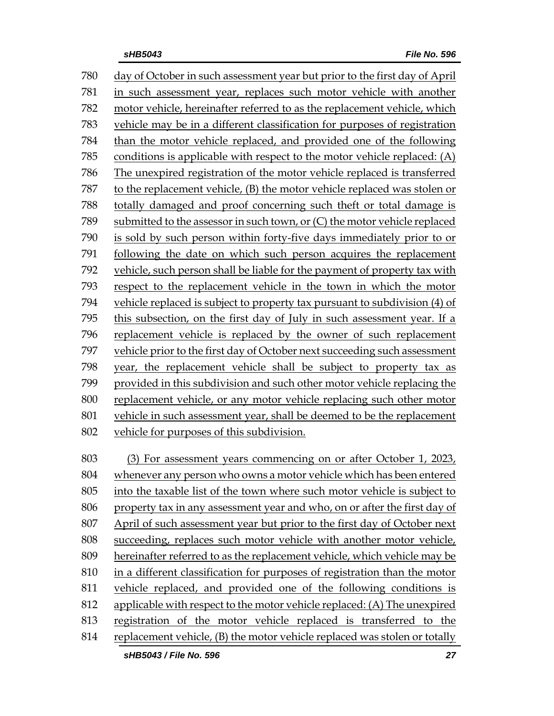day of October in such assessment year but prior to the first day of April in such assessment year, replaces such motor vehicle with another motor vehicle, hereinafter referred to as the replacement vehicle, which vehicle may be in a different classification for purposes of registration than the motor vehicle replaced, and provided one of the following 785 conditions is applicable with respect to the motor vehicle replaced:  $(A)$  The unexpired registration of the motor vehicle replaced is transferred to the replacement vehicle, (B) the motor vehicle replaced was stolen or totally damaged and proof concerning such theft or total damage is submitted to the assessor in such town, or (C) the motor vehicle replaced is sold by such person within forty-five days immediately prior to or following the date on which such person acquires the replacement vehicle, such person shall be liable for the payment of property tax with respect to the replacement vehicle in the town in which the motor vehicle replaced is subject to property tax pursuant to subdivision (4) of this subsection, on the first day of July in such assessment year. If a replacement vehicle is replaced by the owner of such replacement vehicle prior to the first day of October next succeeding such assessment year, the replacement vehicle shall be subject to property tax as provided in this subdivision and such other motor vehicle replacing the replacement vehicle, or any motor vehicle replacing such other motor vehicle in such assessment year, shall be deemed to be the replacement vehicle for purposes of this subdivision. (3) For assessment years commencing on or after October 1, 2023, whenever any person who owns a motor vehicle which has been entered into the taxable list of the town where such motor vehicle is subject to property tax in any assessment year and who, on or after the first day of

April of such assessment year but prior to the first day of October next

 succeeding, replaces such motor vehicle with another motor vehicle, hereinafter referred to as the replacement vehicle, which vehicle may be

- in a different classification for purposes of registration than the motor
- vehicle replaced, and provided one of the following conditions is
- 812 applicable with respect to the motor vehicle replaced: (A) The unexpired

registration of the motor vehicle replaced is transferred to the

replacement vehicle, (B) the motor vehicle replaced was stolen or totally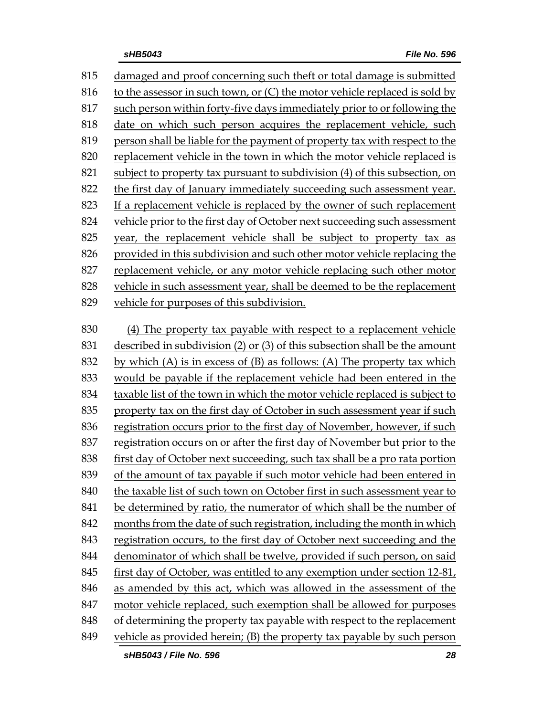damaged and proof concerning such theft or total damage is submitted 816 to the assessor in such town, or  $(C)$  the motor vehicle replaced is sold by such person within forty-five days immediately prior to or following the date on which such person acquires the replacement vehicle, such person shall be liable for the payment of property tax with respect to the replacement vehicle in the town in which the motor vehicle replaced is subject to property tax pursuant to subdivision (4) of this subsection, on 822 the first day of January immediately succeeding such assessment year. If a replacement vehicle is replaced by the owner of such replacement vehicle prior to the first day of October next succeeding such assessment year, the replacement vehicle shall be subject to property tax as provided in this subdivision and such other motor vehicle replacing the replacement vehicle, or any motor vehicle replacing such other motor vehicle in such assessment year, shall be deemed to be the replacement vehicle for purposes of this subdivision. (4) The property tax payable with respect to a replacement vehicle described in subdivision (2) or (3) of this subsection shall be the amount 832 by which  $(A)$  is in excess of  $(B)$  as follows:  $(A)$  The property tax which would be payable if the replacement vehicle had been entered in the taxable list of the town in which the motor vehicle replaced is subject to property tax on the first day of October in such assessment year if such registration occurs prior to the first day of November, however, if such registration occurs on or after the first day of November but prior to the first day of October next succeeding, such tax shall be a pro rata portion of the amount of tax payable if such motor vehicle had been entered in 840 the taxable list of such town on October first in such assessment year to be determined by ratio, the numerator of which shall be the number of months from the date of such registration, including the month in which registration occurs, to the first day of October next succeeding and the denominator of which shall be twelve, provided if such person, on said first day of October, was entitled to any exemption under section 12-81, as amended by this act, which was allowed in the assessment of the motor vehicle replaced, such exemption shall be allowed for purposes

- 848 of determining the property tax payable with respect to the replacement
- vehicle as provided herein; (B) the property tax payable by such person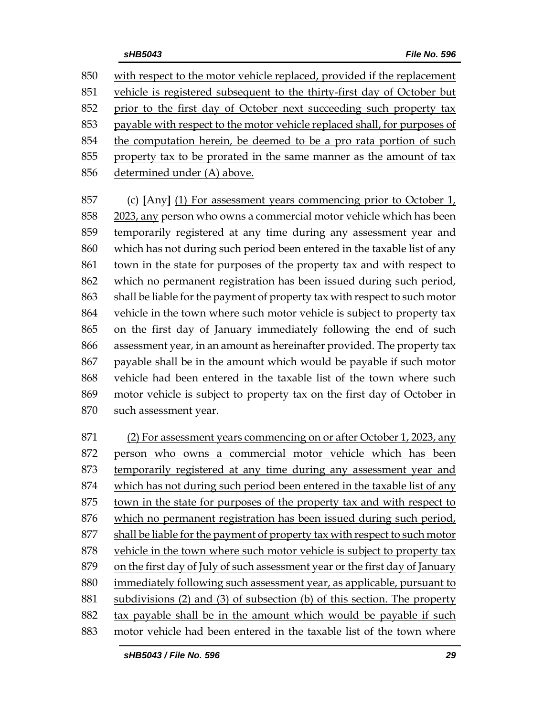with respect to the motor vehicle replaced, provided if the replacement vehicle is registered subsequent to the thirty-first day of October but prior to the first day of October next succeeding such property tax payable with respect to the motor vehicle replaced shall, for purposes of the computation herein, be deemed to be a pro rata portion of such property tax to be prorated in the same manner as the amount of tax determined under (A) above.

 (c) **[**Any**]** (1) For assessment years commencing prior to October 1, 2023, any person who owns a commercial motor vehicle which has been temporarily registered at any time during any assessment year and which has not during such period been entered in the taxable list of any town in the state for purposes of the property tax and with respect to which no permanent registration has been issued during such period, shall be liable for the payment of property tax with respect to such motor vehicle in the town where such motor vehicle is subject to property tax on the first day of January immediately following the end of such assessment year, in an amount as hereinafter provided. The property tax payable shall be in the amount which would be payable if such motor vehicle had been entered in the taxable list of the town where such motor vehicle is subject to property tax on the first day of October in such assessment year.

 (2) For assessment years commencing on or after October 1, 2023, any person who owns a commercial motor vehicle which has been temporarily registered at any time during any assessment year and which has not during such period been entered in the taxable list of any town in the state for purposes of the property tax and with respect to which no permanent registration has been issued during such period, shall be liable for the payment of property tax with respect to such motor vehicle in the town where such motor vehicle is subject to property tax on the first day of July of such assessment year or the first day of January immediately following such assessment year, as applicable, pursuant to subdivisions (2) and (3) of subsection (b) of this section. The property tax payable shall be in the amount which would be payable if such motor vehicle had been entered in the taxable list of the town where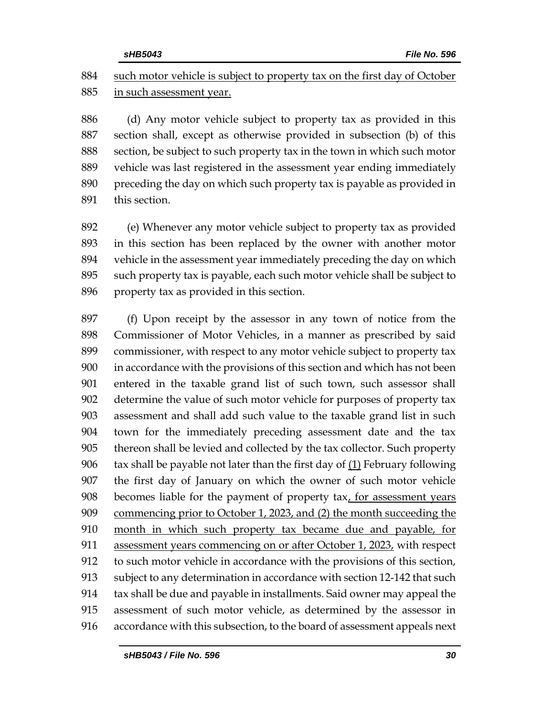884 such motor vehicle is subject to property tax on the first day of October in such assessment year.

 (d) Any motor vehicle subject to property tax as provided in this section shall, except as otherwise provided in subsection (b) of this section, be subject to such property tax in the town in which such motor vehicle was last registered in the assessment year ending immediately preceding the day on which such property tax is payable as provided in this section.

 (e) Whenever any motor vehicle subject to property tax as provided in this section has been replaced by the owner with another motor vehicle in the assessment year immediately preceding the day on which such property tax is payable, each such motor vehicle shall be subject to property tax as provided in this section.

 (f) Upon receipt by the assessor in any town of notice from the Commissioner of Motor Vehicles, in a manner as prescribed by said commissioner, with respect to any motor vehicle subject to property tax in accordance with the provisions of this section and which has not been entered in the taxable grand list of such town, such assessor shall determine the value of such motor vehicle for purposes of property tax assessment and shall add such value to the taxable grand list in such town for the immediately preceding assessment date and the tax thereon shall be levied and collected by the tax collector. Such property tax shall be payable not later than the first day of (1) February following the first day of January on which the owner of such motor vehicle becomes liable for the payment of property tax, for assessment years commencing prior to October 1, 2023, and (2) the month succeeding the month in which such property tax became due and payable, for 911 assessment years commencing on or after October 1, 2023, with respect to such motor vehicle in accordance with the provisions of this section, subject to any determination in accordance with section 12-142 that such tax shall be due and payable in installments. Said owner may appeal the assessment of such motor vehicle, as determined by the assessor in accordance with this subsection, to the board of assessment appeals next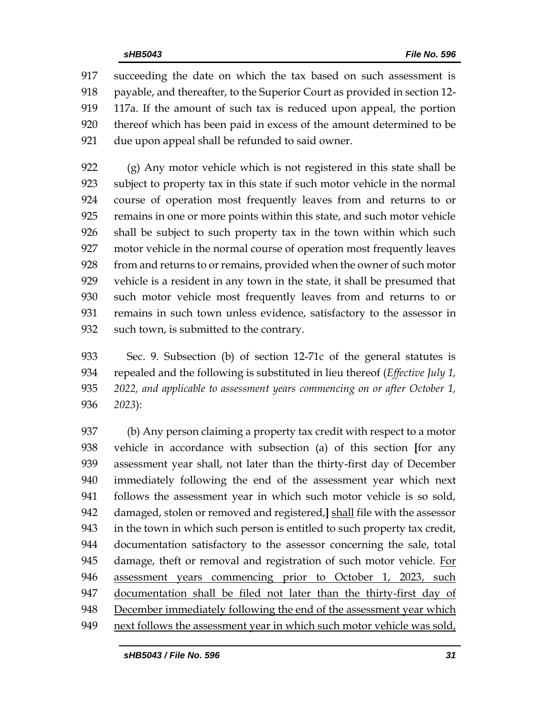succeeding the date on which the tax based on such assessment is payable, and thereafter, to the Superior Court as provided in section 12- 117a. If the amount of such tax is reduced upon appeal, the portion thereof which has been paid in excess of the amount determined to be due upon appeal shall be refunded to said owner.

 (g) Any motor vehicle which is not registered in this state shall be subject to property tax in this state if such motor vehicle in the normal course of operation most frequently leaves from and returns to or remains in one or more points within this state, and such motor vehicle shall be subject to such property tax in the town within which such motor vehicle in the normal course of operation most frequently leaves from and returns to or remains, provided when the owner of such motor vehicle is a resident in any town in the state, it shall be presumed that such motor vehicle most frequently leaves from and returns to or remains in such town unless evidence, satisfactory to the assessor in such town, is submitted to the contrary.

 Sec. 9. Subsection (b) of section 12-71c of the general statutes is repealed and the following is substituted in lieu thereof (*Effective July 1, 2022, and applicable to assessment years commencing on or after October 1, 2023*):

 (b) Any person claiming a property tax credit with respect to a motor vehicle in accordance with subsection (a) of this section **[**for any assessment year shall, not later than the thirty-first day of December immediately following the end of the assessment year which next follows the assessment year in which such motor vehicle is so sold, damaged, stolen or removed and registered,**]** shall file with the assessor in the town in which such person is entitled to such property tax credit, documentation satisfactory to the assessor concerning the sale, total 945 damage, theft or removal and registration of such motor vehicle. For 946 assessment years commencing prior to October 1, 2023, such documentation shall be filed not later than the thirty-first day of December immediately following the end of the assessment year which next follows the assessment year in which such motor vehicle was sold,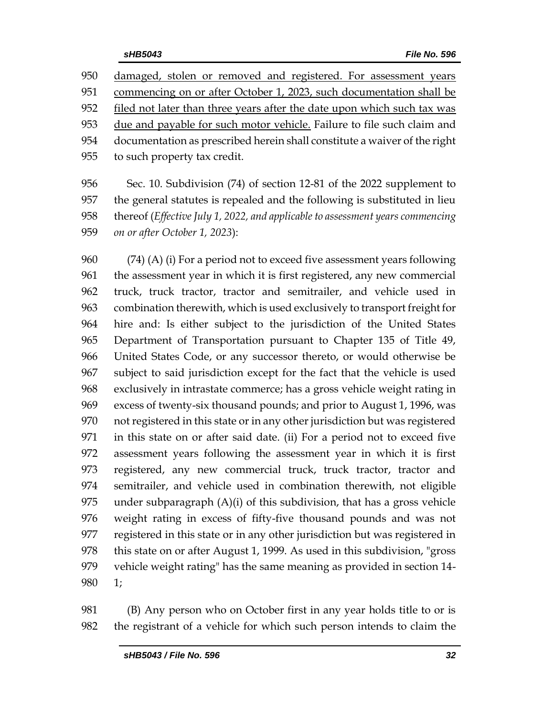damaged, stolen or removed and registered. For assessment years commencing on or after October 1, 2023, such documentation shall be 952 filed not later than three years after the date upon which such tax was due and payable for such motor vehicle. Failure to file such claim and documentation as prescribed herein shall constitute a waiver of the right to such property tax credit.

 Sec. 10. Subdivision (74) of section 12-81 of the 2022 supplement to the general statutes is repealed and the following is substituted in lieu thereof (*Effective July 1, 2022, and applicable to assessment years commencing on or after October 1, 2023*):

 (74) (A) (i) For a period not to exceed five assessment years following the assessment year in which it is first registered, any new commercial truck, truck tractor, tractor and semitrailer, and vehicle used in combination therewith, which is used exclusively to transport freight for hire and: Is either subject to the jurisdiction of the United States Department of Transportation pursuant to Chapter 135 of Title 49, United States Code, or any successor thereto, or would otherwise be subject to said jurisdiction except for the fact that the vehicle is used exclusively in intrastate commerce; has a gross vehicle weight rating in excess of twenty-six thousand pounds; and prior to August 1, 1996, was not registered in this state or in any other jurisdiction but was registered in this state on or after said date. (ii) For a period not to exceed five assessment years following the assessment year in which it is first registered, any new commercial truck, truck tractor, tractor and semitrailer, and vehicle used in combination therewith, not eligible under subparagraph (A)(i) of this subdivision, that has a gross vehicle weight rating in excess of fifty-five thousand pounds and was not registered in this state or in any other jurisdiction but was registered in this state on or after August 1, 1999. As used in this subdivision, "gross vehicle weight rating" has the same meaning as provided in section 14- 1;

 (B) Any person who on October first in any year holds title to or is the registrant of a vehicle for which such person intends to claim the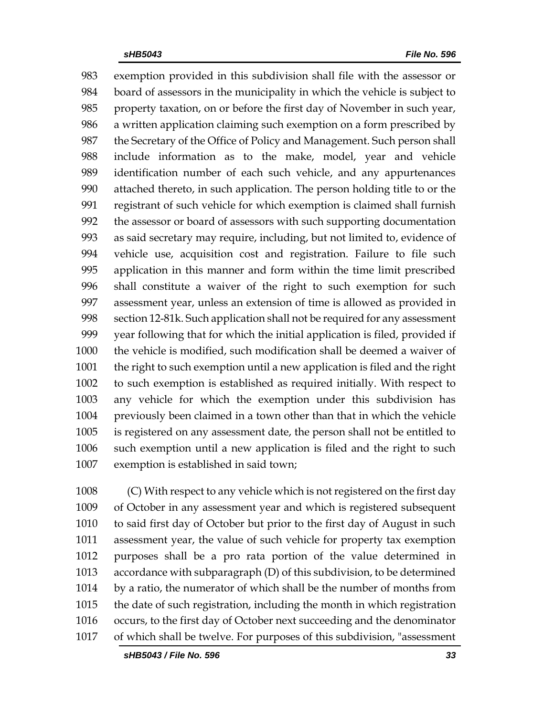exemption provided in this subdivision shall file with the assessor or board of assessors in the municipality in which the vehicle is subject to property taxation, on or before the first day of November in such year, a written application claiming such exemption on a form prescribed by 987 the Secretary of the Office of Policy and Management. Such person shall include information as to the make, model, year and vehicle identification number of each such vehicle, and any appurtenances attached thereto, in such application. The person holding title to or the registrant of such vehicle for which exemption is claimed shall furnish the assessor or board of assessors with such supporting documentation as said secretary may require, including, but not limited to, evidence of vehicle use, acquisition cost and registration. Failure to file such application in this manner and form within the time limit prescribed shall constitute a waiver of the right to such exemption for such assessment year, unless an extension of time is allowed as provided in section 12-81k. Such application shall not be required for any assessment year following that for which the initial application is filed, provided if the vehicle is modified, such modification shall be deemed a waiver of the right to such exemption until a new application is filed and the right to such exemption is established as required initially. With respect to any vehicle for which the exemption under this subdivision has previously been claimed in a town other than that in which the vehicle is registered on any assessment date, the person shall not be entitled to such exemption until a new application is filed and the right to such exemption is established in said town;

 (C) With respect to any vehicle which is not registered on the first day of October in any assessment year and which is registered subsequent to said first day of October but prior to the first day of August in such assessment year, the value of such vehicle for property tax exemption purposes shall be a pro rata portion of the value determined in accordance with subparagraph (D) of this subdivision, to be determined by a ratio, the numerator of which shall be the number of months from the date of such registration, including the month in which registration occurs, to the first day of October next succeeding and the denominator of which shall be twelve. For purposes of this subdivision, "assessment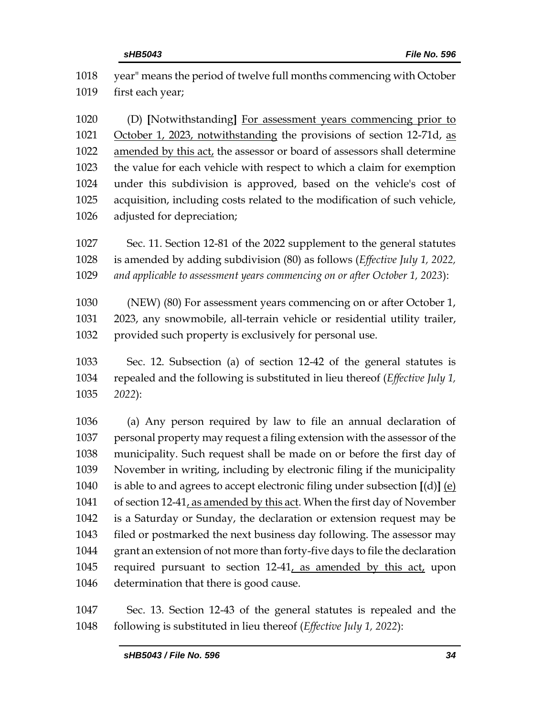| 1018         | year" means the period of twelve full months commencing with October                                                                    |
|--------------|-----------------------------------------------------------------------------------------------------------------------------------------|
| 1019         | first each year;                                                                                                                        |
| 1020<br>1021 | (D) [Notwithstanding] For assessment years commencing prior to<br>October 1, 2023, notwithstanding the provisions of section 12-71d, as |
| 1022         | amended by this act, the assessor or board of assessors shall determine                                                                 |
| 1023         | the value for each vehicle with respect to which a claim for exemption                                                                  |
| 1024         | under this subdivision is approved, based on the vehicle's cost of                                                                      |
| 1025         | acquisition, including costs related to the modification of such vehicle,                                                               |
| 1026         | adjusted for depreciation;                                                                                                              |
| 1027         | Sec. 11. Section 12-81 of the 2022 supplement to the general statutes                                                                   |
| 1028         | is amended by adding subdivision (80) as follows (Effective July 1, 2022,                                                               |
| 1029         | and applicable to assessment years commencing on or after October 1, 2023):                                                             |
| 1030         | (NEW) (80) For assessment years commencing on or after October 1,                                                                       |
| 1031         | 2023, any snowmobile, all-terrain vehicle or residential utility trailer,                                                               |
| 1032         | provided such property is exclusively for personal use.                                                                                 |
| 1033         | Sec. 12. Subsection (a) of section 12-42 of the general statutes is                                                                     |
| 1034         | repealed and the following is substituted in lieu thereof ( <i>Effective July 1</i> ,                                                   |
| 1035         | 2022):                                                                                                                                  |
| 1036         | (a) Any person required by law to file an annual declaration of                                                                         |
| 1037         | personal property may request a filing extension with the assessor of the                                                               |
| 1038         | municipality. Such request shall be made on or before the first day of                                                                  |
| 1039         | November in writing, including by electronic filing if the municipality                                                                 |
| 1040         | is able to and agrees to accept electronic filing under subsection $[(d)]$ $(e)$                                                        |
| 1041         | of section 12-41, as amended by this act. When the first day of November                                                                |
| 1042         | is a Saturday or Sunday, the declaration or extension request may be                                                                    |
| 1043         | filed or postmarked the next business day following. The assessor may                                                                   |
| 1044         | grant an extension of not more than forty-five days to file the declaration                                                             |
| 1045         | required pursuant to section 12-41, as amended by this act, upon                                                                        |
| 1046         | determination that there is good cause.                                                                                                 |

 Sec. 13. Section 12-43 of the general statutes is repealed and the following is substituted in lieu thereof (*Effective July 1, 2022*):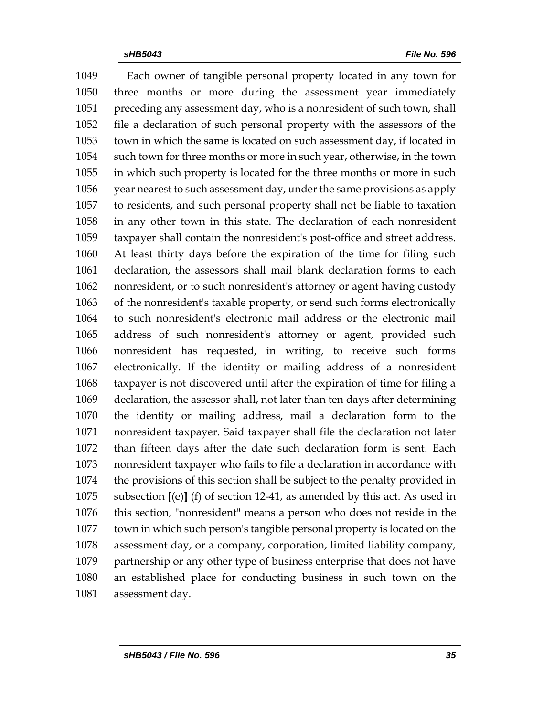Each owner of tangible personal property located in any town for three months or more during the assessment year immediately preceding any assessment day, who is a nonresident of such town, shall file a declaration of such personal property with the assessors of the town in which the same is located on such assessment day, if located in such town for three months or more in such year, otherwise, in the town in which such property is located for the three months or more in such year nearest to such assessment day, under the same provisions as apply to residents, and such personal property shall not be liable to taxation in any other town in this state. The declaration of each nonresident taxpayer shall contain the nonresident's post-office and street address. At least thirty days before the expiration of the time for filing such declaration, the assessors shall mail blank declaration forms to each nonresident, or to such nonresident's attorney or agent having custody of the nonresident's taxable property, or send such forms electronically to such nonresident's electronic mail address or the electronic mail address of such nonresident's attorney or agent, provided such nonresident has requested, in writing, to receive such forms electronically. If the identity or mailing address of a nonresident taxpayer is not discovered until after the expiration of time for filing a declaration, the assessor shall, not later than ten days after determining the identity or mailing address, mail a declaration form to the nonresident taxpayer. Said taxpayer shall file the declaration not later than fifteen days after the date such declaration form is sent. Each nonresident taxpayer who fails to file a declaration in accordance with the provisions of this section shall be subject to the penalty provided in subsection **[**(e)**]** (f) of section 12-41, as amended by this act. As used in this section, "nonresident" means a person who does not reside in the town in which such person's tangible personal property is located on the assessment day, or a company, corporation, limited liability company, partnership or any other type of business enterprise that does not have an established place for conducting business in such town on the assessment day.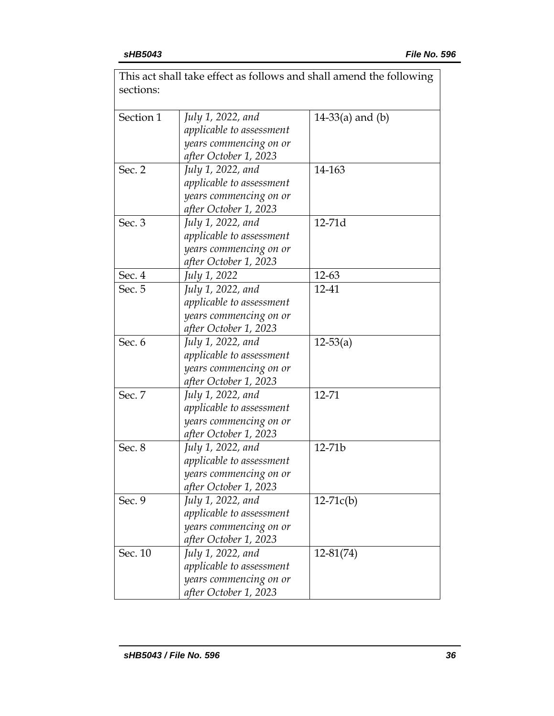|           |                          | This act shall take effect as follows and shall amend the following |
|-----------|--------------------------|---------------------------------------------------------------------|
| sections: |                          |                                                                     |
|           |                          |                                                                     |
| Section 1 | July 1, 2022, and        | 14-33(a) and $(b)$                                                  |
|           | applicable to assessment |                                                                     |
|           | years commencing on or   |                                                                     |
|           | after October 1, 2023    |                                                                     |
| Sec. 2    | July 1, 2022, and        | 14-163                                                              |
|           | applicable to assessment |                                                                     |
|           | years commencing on or   |                                                                     |
|           | after October 1, 2023    |                                                                     |
| Sec. 3    | July 1, 2022, and        | 12-71d                                                              |
|           | applicable to assessment |                                                                     |
|           | years commencing on or   |                                                                     |
|           | after October 1, 2023    |                                                                     |
| Sec. 4    | July 1, 2022             | $12 - 63$                                                           |
| Sec. 5    | July 1, 2022, and        | 12-41                                                               |
|           | applicable to assessment |                                                                     |
|           | years commencing on or   |                                                                     |
|           | after October 1, 2023    |                                                                     |
| Sec. 6    | July 1, 2022, and        | $12 - 53(a)$                                                        |
|           | applicable to assessment |                                                                     |
|           | years commencing on or   |                                                                     |
|           | after October 1, 2023    |                                                                     |
| Sec. 7    | July 1, 2022, and        | 12-71                                                               |
|           | applicable to assessment |                                                                     |
|           | years commencing on or   |                                                                     |
|           | after October 1, 2023    |                                                                     |
| Sec. 8    | July 1, 2022, and        | $12 - 71b$                                                          |
|           | applicable to assessment |                                                                     |
|           | years commencing on or   |                                                                     |
|           | after October 1, 2023    |                                                                     |
| Sec. 9    | July 1, 2022, and        | $12-71c(b)$                                                         |
|           | applicable to assessment |                                                                     |
|           | years commencing on or   |                                                                     |
|           | after October 1, 2023    |                                                                     |
| Sec. 10   | July 1, 2022, and        | $12 - 81(74)$                                                       |
|           | applicable to assessment |                                                                     |
|           | years commencing on or   |                                                                     |
|           | after October 1, 2023    |                                                                     |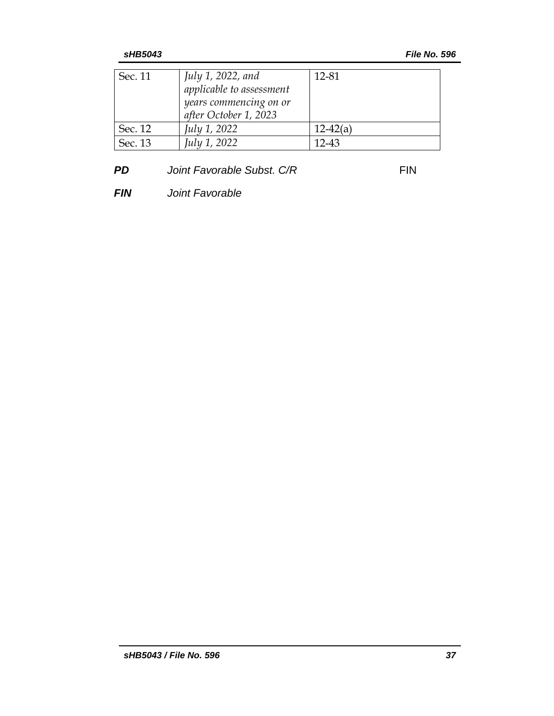| Sec. 11 | July 1, 2022, and<br>applicable to assessment<br>years commencing on or<br>after October 1, 2023 | 12-81      |
|---------|--------------------------------------------------------------------------------------------------|------------|
| Sec. 12 | July 1, 2022                                                                                     | $12-42(a)$ |
| Sec. 13 | July 1, 2022                                                                                     | 12-43      |

# **PD** *Joint Favorable Subst. C/R* FIN

*FIN Joint Favorable*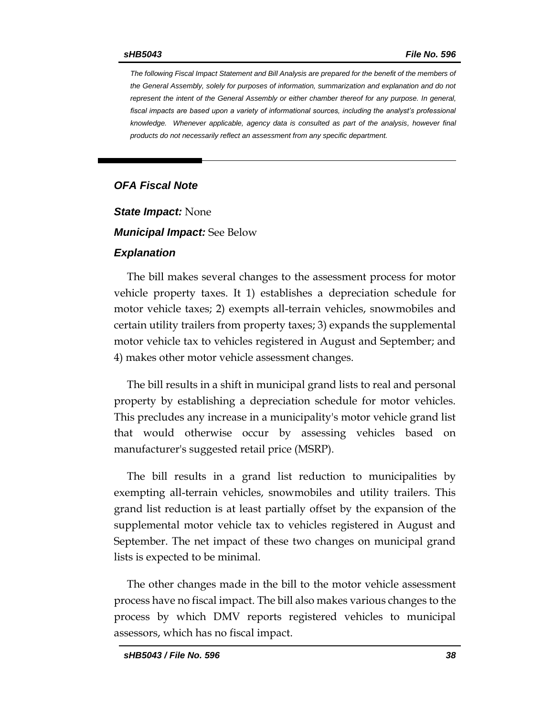*The following Fiscal Impact Statement and Bill Analysis are prepared for the benefit of the members of the General Assembly, solely for purposes of information, summarization and explanation and do not represent the intent of the General Assembly or either chamber thereof for any purpose. In general,*  fiscal impacts are based upon a variety of informational sources, including the analyst's professional *knowledge. Whenever applicable, agency data is consulted as part of the analysis, however final products do not necessarily reflect an assessment from any specific department.*

### *OFA Fiscal Note*

*State Impact:* None

*Municipal Impact:* See Below

#### *Explanation*

The bill makes several changes to the assessment process for motor vehicle property taxes. It 1) establishes a depreciation schedule for motor vehicle taxes; 2) exempts all-terrain vehicles, snowmobiles and certain utility trailers from property taxes; 3) expands the supplemental motor vehicle tax to vehicles registered in August and September; and 4) makes other motor vehicle assessment changes.

The bill results in a shift in municipal grand lists to real and personal property by establishing a depreciation schedule for motor vehicles. This precludes any increase in a municipality's motor vehicle grand list that would otherwise occur by assessing vehicles based on manufacturer's suggested retail price (MSRP).

The bill results in a grand list reduction to municipalities by exempting all-terrain vehicles, snowmobiles and utility trailers. This grand list reduction is at least partially offset by the expansion of the supplemental motor vehicle tax to vehicles registered in August and September. The net impact of these two changes on municipal grand lists is expected to be minimal.

The other changes made in the bill to the motor vehicle assessment process have no fiscal impact. The bill also makes various changes to the process by which DMV reports registered vehicles to municipal assessors, which has no fiscal impact.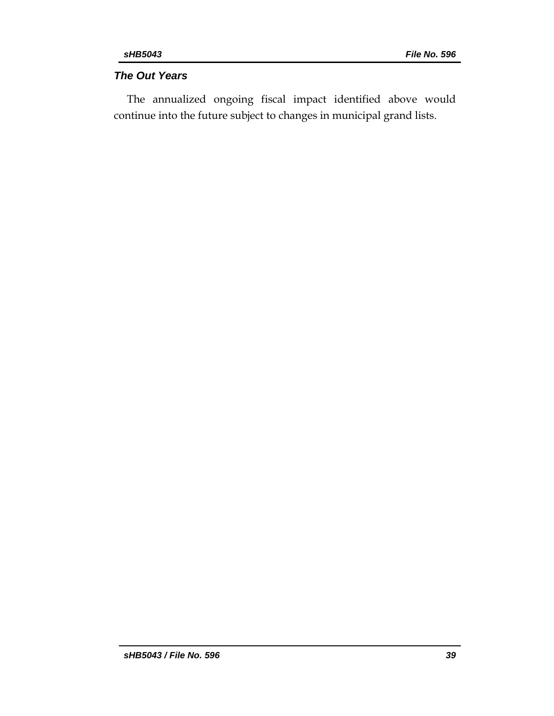### *The Out Years*

The annualized ongoing fiscal impact identified above would continue into the future subject to changes in municipal grand lists.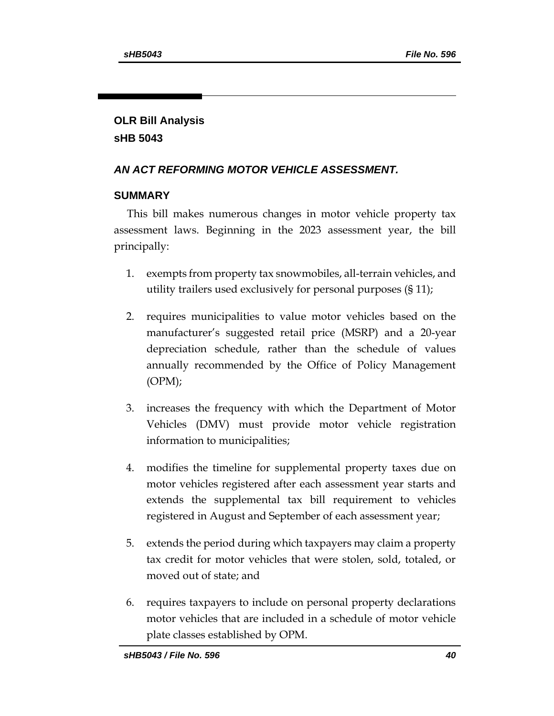# **OLR Bill Analysis sHB 5043**

# *AN ACT REFORMING MOTOR VEHICLE ASSESSMENT.*

## **SUMMARY**

This bill makes numerous changes in motor vehicle property tax assessment laws. Beginning in the 2023 assessment year, the bill principally:

- 1. exempts from property tax snowmobiles, all-terrain vehicles, and utility trailers used exclusively for personal purposes (§ 11);
- 2. requires municipalities to value motor vehicles based on the manufacturer's suggested retail price (MSRP) and a 20-year depreciation schedule, rather than the schedule of values annually recommended by the Office of Policy Management (OPM);
- 3. increases the frequency with which the Department of Motor Vehicles (DMV) must provide motor vehicle registration information to municipalities;
- 4. modifies the timeline for supplemental property taxes due on motor vehicles registered after each assessment year starts and extends the supplemental tax bill requirement to vehicles registered in August and September of each assessment year;
- 5. extends the period during which taxpayers may claim a property tax credit for motor vehicles that were stolen, sold, totaled, or moved out of state; and
- 6. requires taxpayers to include on personal property declarations motor vehicles that are included in a schedule of motor vehicle plate classes established by OPM.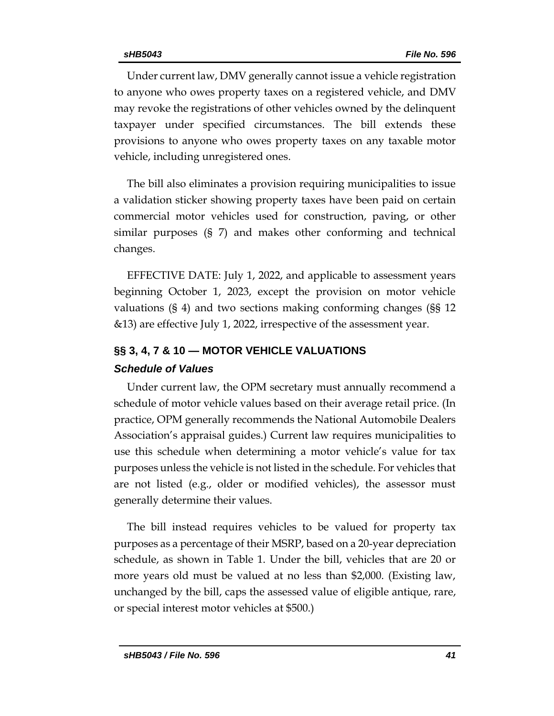Under current law, DMV generally cannot issue a vehicle registration to anyone who owes property taxes on a registered vehicle, and DMV may revoke the registrations of other vehicles owned by the delinquent taxpayer under specified circumstances. The bill extends these provisions to anyone who owes property taxes on any taxable motor vehicle, including unregistered ones.

The bill also eliminates a provision requiring municipalities to issue a validation sticker showing property taxes have been paid on certain commercial motor vehicles used for construction, paving, or other similar purposes (§ 7) and makes other conforming and technical changes.

EFFECTIVE DATE: July 1, 2022, and applicable to assessment years beginning October 1, 2023, except the provision on motor vehicle valuations (§ 4) and two sections making conforming changes (§§ 12 &13) are effective July 1, 2022, irrespective of the assessment year.

# **§§ 3, 4, 7 & 10 — MOTOR VEHICLE VALUATIONS** *Schedule of Values*

Under current law, the OPM secretary must annually recommend a schedule of motor vehicle values based on their average retail price. (In practice, OPM generally recommends the National Automobile Dealers Association's appraisal guides.) Current law requires municipalities to use this schedule when determining a motor vehicle's value for tax purposes unless the vehicle is not listed in the schedule. For vehicles that are not listed (e.g., older or modified vehicles), the assessor must generally determine their values.

The bill instead requires vehicles to be valued for property tax purposes as a percentage of their MSRP, based on a 20-year depreciation schedule, as shown in Table 1. Under the bill, vehicles that are 20 or more years old must be valued at no less than \$2,000. (Existing law, unchanged by the bill, caps the assessed value of eligible antique, rare, or special interest motor vehicles at \$500.)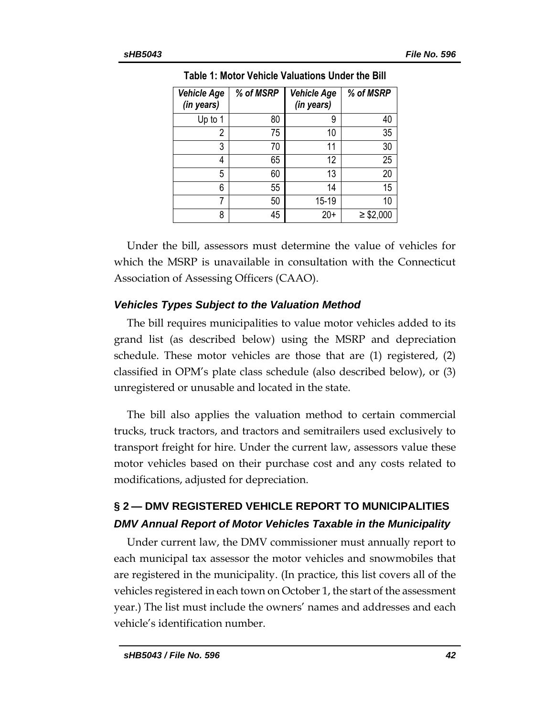| <b>Vehicle Age</b><br>(in years) | % of MSRP | <b>Vehicle Age</b><br>(in years) | % of MSRP      |
|----------------------------------|-----------|----------------------------------|----------------|
| Up to 1                          | 80        | 9                                | 40             |
| 2                                | 75        | 10                               | 35             |
| 3                                | 70        | 11                               | 30             |
| 4                                | 65        | 12                               | 25             |
| 5                                | 60        | 13                               | 20             |
| 6                                | 55        | 14                               | 15             |
| 7                                | 50        | 15-19                            | 10             |
| 8                                | 45        | $20+$                            | $\geq$ \$2,000 |

**Table 1: Motor Vehicle Valuations Under the Bill**

Under the bill, assessors must determine the value of vehicles for which the MSRP is unavailable in consultation with the Connecticut Association of Assessing Officers (CAAO).

### *Vehicles Types Subject to the Valuation Method*

The bill requires municipalities to value motor vehicles added to its grand list (as described below) using the MSRP and depreciation schedule. These motor vehicles are those that are (1) registered, (2) classified in OPM's plate class schedule (also described below), or (3) unregistered or unusable and located in the state.

The bill also applies the valuation method to certain commercial trucks, truck tractors, and tractors and semitrailers used exclusively to transport freight for hire. Under the current law, assessors value these motor vehicles based on their purchase cost and any costs related to modifications, adjusted for depreciation.

# **§ 2 — DMV REGISTERED VEHICLE REPORT TO MUNICIPALITIES** *DMV Annual Report of Motor Vehicles Taxable in the Municipality*

Under current law, the DMV commissioner must annually report to each municipal tax assessor the motor vehicles and snowmobiles that are registered in the municipality. (In practice, this list covers all of the vehicles registered in each town on October 1, the start of the assessment year.) The list must include the owners' names and addresses and each vehicle's identification number.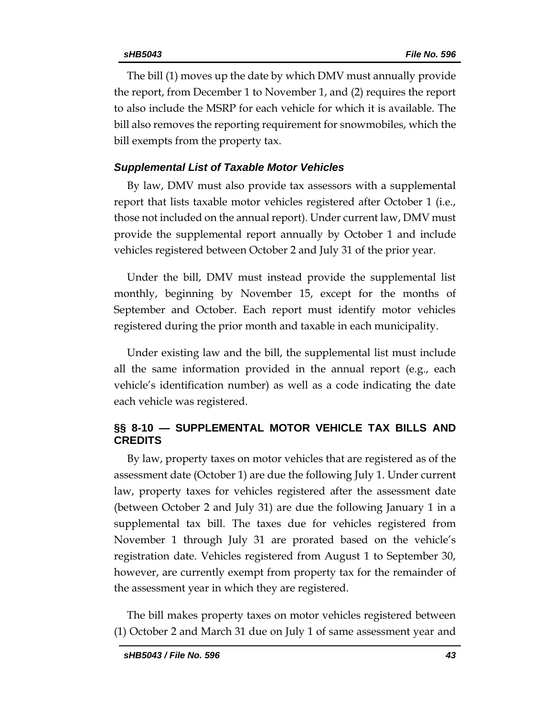The bill (1) moves up the date by which DMV must annually provide the report, from December 1 to November 1, and (2) requires the report to also include the MSRP for each vehicle for which it is available. The bill also removes the reporting requirement for snowmobiles, which the bill exempts from the property tax.

### *Supplemental List of Taxable Motor Vehicles*

By law, DMV must also provide tax assessors with a supplemental report that lists taxable motor vehicles registered after October 1 (i.e., those not included on the annual report). Under current law, DMV must provide the supplemental report annually by October 1 and include vehicles registered between October 2 and July 31 of the prior year.

Under the bill, DMV must instead provide the supplemental list monthly, beginning by November 15, except for the months of September and October. Each report must identify motor vehicles registered during the prior month and taxable in each municipality.

Under existing law and the bill, the supplemental list must include all the same information provided in the annual report (e.g., each vehicle's identification number) as well as a code indicating the date each vehicle was registered.

### **§§ 8-10 — SUPPLEMENTAL MOTOR VEHICLE TAX BILLS AND CREDITS**

By law, property taxes on motor vehicles that are registered as of the assessment date (October 1) are due the following July 1. Under current law, property taxes for vehicles registered after the assessment date (between October 2 and July 31) are due the following January 1 in a supplemental tax bill. The taxes due for vehicles registered from November 1 through July 31 are prorated based on the vehicle's registration date. Vehicles registered from August 1 to September 30, however, are currently exempt from property tax for the remainder of the assessment year in which they are registered.

The bill makes property taxes on motor vehicles registered between (1) October 2 and March 31 due on July 1 of same assessment year and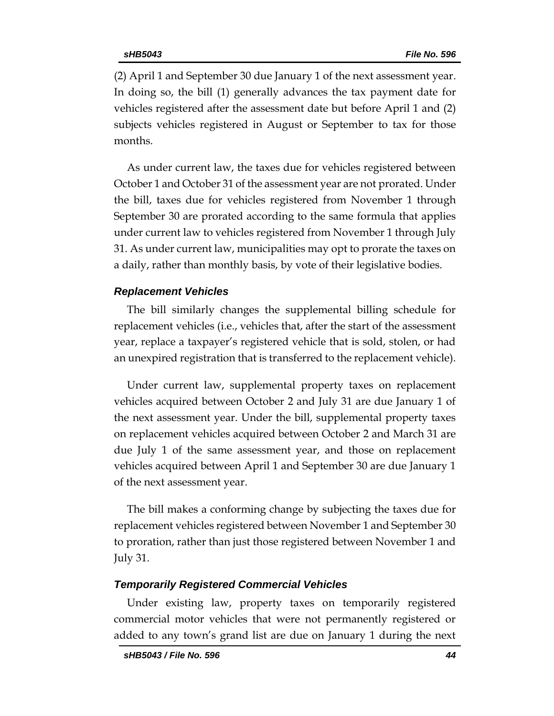(2) April 1 and September 30 due January 1 of the next assessment year. In doing so, the bill (1) generally advances the tax payment date for vehicles registered after the assessment date but before April 1 and (2) subjects vehicles registered in August or September to tax for those months.

As under current law, the taxes due for vehicles registered between October 1 and October 31 of the assessment year are not prorated. Under the bill, taxes due for vehicles registered from November 1 through September 30 are prorated according to the same formula that applies under current law to vehicles registered from November 1 through July 31. As under current law, municipalities may opt to prorate the taxes on a daily, rather than monthly basis, by vote of their legislative bodies.

#### *Replacement Vehicles*

The bill similarly changes the supplemental billing schedule for replacement vehicles (i.e., vehicles that, after the start of the assessment year, replace a taxpayer's registered vehicle that is sold, stolen, or had an unexpired registration that is transferred to the replacement vehicle).

Under current law, supplemental property taxes on replacement vehicles acquired between October 2 and July 31 are due January 1 of the next assessment year. Under the bill, supplemental property taxes on replacement vehicles acquired between October 2 and March 31 are due July 1 of the same assessment year, and those on replacement vehicles acquired between April 1 and September 30 are due January 1 of the next assessment year.

The bill makes a conforming change by subjecting the taxes due for replacement vehicles registered between November 1 and September 30 to proration, rather than just those registered between November 1 and July 31.

#### *Temporarily Registered Commercial Vehicles*

Under existing law, property taxes on temporarily registered commercial motor vehicles that were not permanently registered or added to any town's grand list are due on January 1 during the next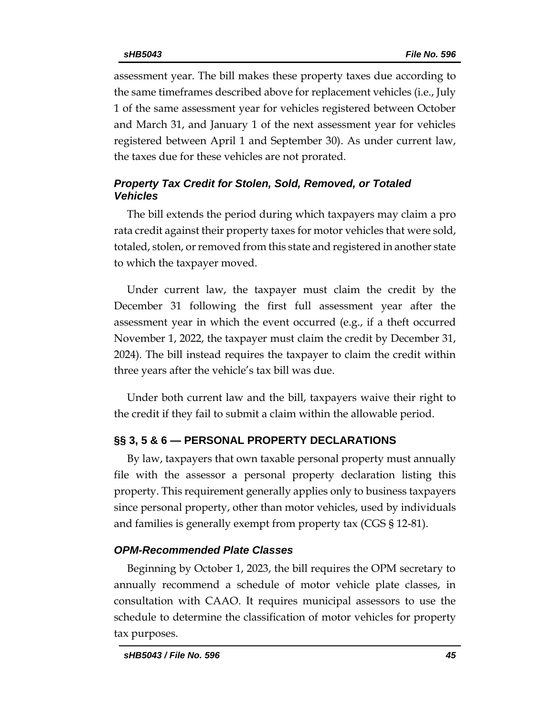assessment year. The bill makes these property taxes due according to the same timeframes described above for replacement vehicles (i.e., July 1 of the same assessment year for vehicles registered between October and March 31, and January 1 of the next assessment year for vehicles registered between April 1 and September 30). As under current law, the taxes due for these vehicles are not prorated.

## *Property Tax Credit for Stolen, Sold, Removed, or Totaled Vehicles*

The bill extends the period during which taxpayers may claim a pro rata credit against their property taxes for motor vehicles that were sold, totaled, stolen, or removed from this state and registered in another state to which the taxpayer moved.

Under current law, the taxpayer must claim the credit by the December 31 following the first full assessment year after the assessment year in which the event occurred (e.g., if a theft occurred November 1, 2022, the taxpayer must claim the credit by December 31, 2024). The bill instead requires the taxpayer to claim the credit within three years after the vehicle's tax bill was due.

Under both current law and the bill, taxpayers waive their right to the credit if they fail to submit a claim within the allowable period.

## **§§ 3, 5 & 6 — PERSONAL PROPERTY DECLARATIONS**

By law, taxpayers that own taxable personal property must annually file with the assessor a personal property declaration listing this property. This requirement generally applies only to business taxpayers since personal property, other than motor vehicles, used by individuals and families is generally exempt from property tax (CGS § 12-81).

### *OPM-Recommended Plate Classes*

Beginning by October 1, 2023, the bill requires the OPM secretary to annually recommend a schedule of motor vehicle plate classes, in consultation with CAAO. It requires municipal assessors to use the schedule to determine the classification of motor vehicles for property tax purposes.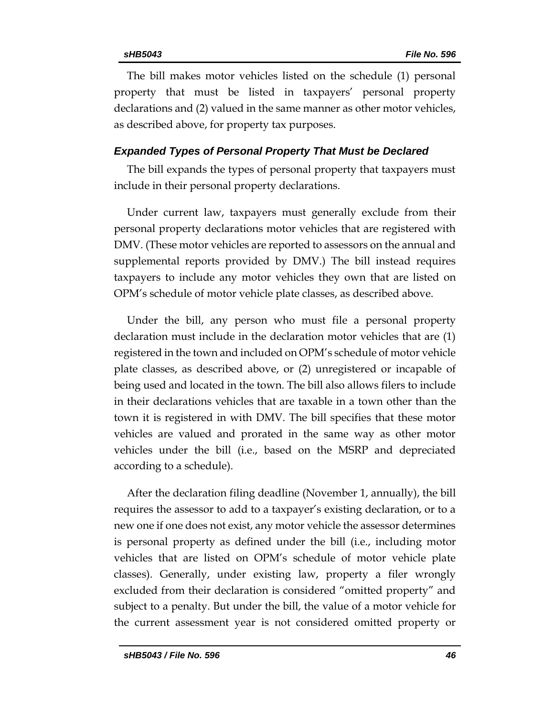The bill makes motor vehicles listed on the schedule (1) personal property that must be listed in taxpayers' personal property declarations and (2) valued in the same manner as other motor vehicles, as described above, for property tax purposes.

#### *Expanded Types of Personal Property That Must be Declared*

The bill expands the types of personal property that taxpayers must include in their personal property declarations.

Under current law, taxpayers must generally exclude from their personal property declarations motor vehicles that are registered with DMV. (These motor vehicles are reported to assessors on the annual and supplemental reports provided by DMV.) The bill instead requires taxpayers to include any motor vehicles they own that are listed on OPM's schedule of motor vehicle plate classes, as described above.

Under the bill, any person who must file a personal property declaration must include in the declaration motor vehicles that are (1) registered in the town and included on OPM's schedule of motor vehicle plate classes, as described above, or (2) unregistered or incapable of being used and located in the town. The bill also allows filers to include in their declarations vehicles that are taxable in a town other than the town it is registered in with DMV. The bill specifies that these motor vehicles are valued and prorated in the same way as other motor vehicles under the bill (i.e., based on the MSRP and depreciated according to a schedule).

After the declaration filing deadline (November 1, annually), the bill requires the assessor to add to a taxpayer's existing declaration, or to a new one if one does not exist, any motor vehicle the assessor determines is personal property as defined under the bill (i.e., including motor vehicles that are listed on OPM's schedule of motor vehicle plate classes). Generally, under existing law, property a filer wrongly excluded from their declaration is considered "omitted property" and subject to a penalty. But under the bill, the value of a motor vehicle for the current assessment year is not considered omitted property or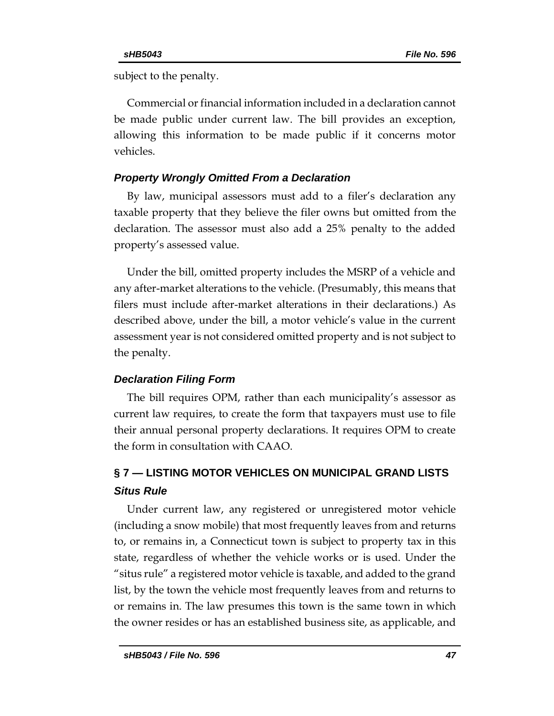subject to the penalty.

Commercial or financial information included in a declaration cannot be made public under current law. The bill provides an exception, allowing this information to be made public if it concerns motor vehicles.

### *Property Wrongly Omitted From a Declaration*

By law, municipal assessors must add to a filer's declaration any taxable property that they believe the filer owns but omitted from the declaration. The assessor must also add a 25% penalty to the added property's assessed value.

Under the bill, omitted property includes the MSRP of a vehicle and any after-market alterations to the vehicle. (Presumably, this means that filers must include after-market alterations in their declarations.) As described above, under the bill, a motor vehicle's value in the current assessment year is not considered omitted property and is not subject to the penalty.

## *Declaration Filing Form*

The bill requires OPM, rather than each municipality's assessor as current law requires, to create the form that taxpayers must use to file their annual personal property declarations. It requires OPM to create the form in consultation with CAAO.

# **§ 7 — LISTING MOTOR VEHICLES ON MUNICIPAL GRAND LISTS** *Situs Rule*

Under current law, any registered or unregistered motor vehicle (including a snow mobile) that most frequently leaves from and returns to, or remains in, a Connecticut town is subject to property tax in this state, regardless of whether the vehicle works or is used. Under the "situs rule" a registered motor vehicle is taxable, and added to the grand list, by the town the vehicle most frequently leaves from and returns to or remains in. The law presumes this town is the same town in which the owner resides or has an established business site, as applicable, and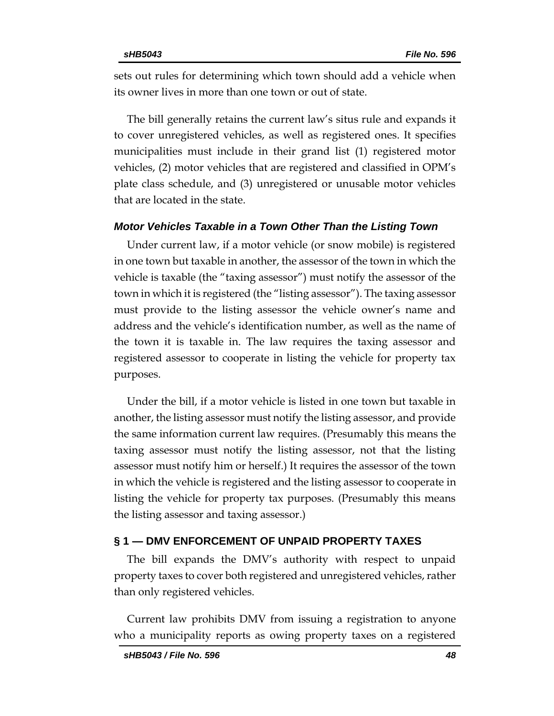sets out rules for determining which town should add a vehicle when its owner lives in more than one town or out of state.

The bill generally retains the current law's situs rule and expands it to cover unregistered vehicles, as well as registered ones. It specifies municipalities must include in their grand list (1) registered motor vehicles, (2) motor vehicles that are registered and classified in OPM's plate class schedule, and (3) unregistered or unusable motor vehicles that are located in the state.

#### *Motor Vehicles Taxable in a Town Other Than the Listing Town*

Under current law, if a motor vehicle (or snow mobile) is registered in one town but taxable in another, the assessor of the town in which the vehicle is taxable (the "taxing assessor") must notify the assessor of the town in which it is registered (the "listing assessor"). The taxing assessor must provide to the listing assessor the vehicle owner's name and address and the vehicle's identification number, as well as the name of the town it is taxable in. The law requires the taxing assessor and registered assessor to cooperate in listing the vehicle for property tax purposes.

Under the bill, if a motor vehicle is listed in one town but taxable in another, the listing assessor must notify the listing assessor, and provide the same information current law requires. (Presumably this means the taxing assessor must notify the listing assessor, not that the listing assessor must notify him or herself.) It requires the assessor of the town in which the vehicle is registered and the listing assessor to cooperate in listing the vehicle for property tax purposes. (Presumably this means the listing assessor and taxing assessor.)

#### **§ 1 — DMV ENFORCEMENT OF UNPAID PROPERTY TAXES**

The bill expands the DMV's authority with respect to unpaid property taxes to cover both registered and unregistered vehicles, rather than only registered vehicles.

Current law prohibits DMV from issuing a registration to anyone who a municipality reports as owing property taxes on a registered